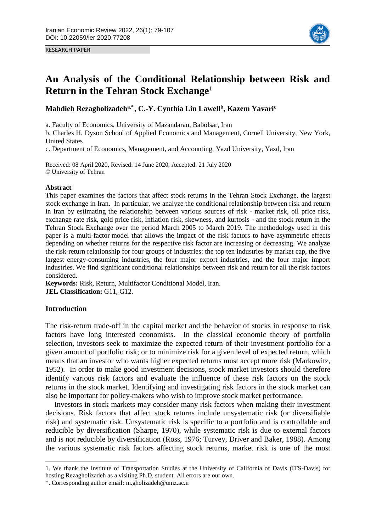RESEARCH PAPER



# **An Analysis of the Conditional Relationship between Risk and Return in the Tehran Stock Exchange**<sup>1</sup>

# **Mahdieh Rezagholizadeha,\*2, C.-Y. Cynthia Lin Lawell<sup>b</sup> , Kazem Yavari<sup>c</sup>**

a. Faculty of Economics, University of Mazandaran, Babolsar, Iran

b. Charles H. Dyson School of Applied Economics and Management, Cornell University, New York, United States

c. Department of Economics, Management, and Accounting, Yazd University, Yazd, Iran

Received: 08 April 2020, Revised: 14 June 2020, Accepted: 21 July 2020 © University of Tehran

# **Abstract**

This paper examines the factors that affect stock returns in the Tehran Stock Exchange, the largest stock exchange in Iran. In particular, we analyze the conditional relationship between risk and return in Iran by estimating the relationship between various sources of risk - market risk, oil price risk, exchange rate risk, gold price risk, inflation risk, skewness, and kurtosis - and the stock return in the Tehran Stock Exchange over the period March 2005 to March 2019. The methodology used in this paper is a multi-factor model that allows the impact of the risk factors to have asymmetric effects depending on whether returns for the respective risk factor are increasing or decreasing. We analyze the risk-return relationship for four groups of industries: the top ten industries by market cap, the five largest energy-consuming industries, the four major export industries, and the four major import industries. We find significant conditional relationships between risk and return for all the risk factors considered.

**Keywords:** Risk, Return, Multifactor Conditional Model, Iran. **JEL Classification:** G11, G12.

# **Introduction**

-

The risk-return trade-off in the capital market and the behavior of stocks in response to risk factors have long interested economists. In the classical economic theory of portfolio selection, investors seek to maximize the expected return of their investment portfolio for a given amount of portfolio risk; or to minimize risk for a given level of expected return, which means that an investor who wants higher expected returns must accept more risk (Markowitz, 1952). In order to make good investment decisions, stock market investors should therefore identify various risk factors and evaluate the influence of these risk factors on the stock returns in the stock market. Identifying and investigating risk factors in the stock market can also be important for policy-makers who wish to improve stock market performance.

Investors in stock markets may consider many risk factors when making their investment decisions. Risk factors that affect stock returns include unsystematic risk (or diversifiable risk) and systematic risk. Unsystematic risk is specific to a portfolio and is controllable and reducible by diversification (Sharpe, 1970), while systematic risk is due to external factors and is not reducible by diversification (Ross, 1976; Turvey, Driver and Baker, 1988). Among the various systematic risk factors affecting stock returns, market risk is one of the most

<sup>1.</sup> We thank the Institute of Transportation Studies at the University of California of Davis (ITS-Davis) for hosting Rezagholizadeh as a visiting Ph.D. student. All errors are our own.

<sup>\*.</sup> Corresponding author email: m.gholizadeh@umz.ac.ir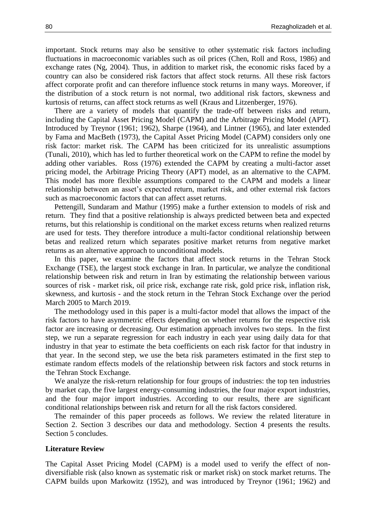important. Stock returns may also be sensitive to other systematic risk factors including fluctuations in macroeconomic variables such as oil prices (Chen, Roll and Ross, 1986) and exchange rates (Ng, 2004). Thus, in addition to market risk, the economic risks faced by a country can also be considered risk factors that affect stock returns. All these risk factors affect corporate profit and can therefore influence stock returns in many ways. Moreover, if the distribution of a stock return is not normal, two additional risk factors, skewness and kurtosis of returns, can affect stock returns as well (Kraus and Litzenberger, 1976).

There are a variety of models that quantify the trade-off between risks and return, including the Capital Asset Pricing Model (CAPM) and the Arbitrage Pricing Model (APT). Introduced by Treynor (1961; 1962), Sharpe (1964), and Lintner (1965), and later extended by Fama and MacBeth (1973), the Capital Asset Pricing Model (CAPM) considers only one risk factor: market risk. The CAPM has been criticized for its unrealistic assumptions (Tunali, 2010), which has led to further theoretical work on the CAPM to refine the model by adding other variables. Ross (1976) extended the CAPM by creating a multi-factor asset pricing model, the Arbitrage Pricing Theory (APT) model, as an alternative to the CAPM. This model has more flexible assumptions compared to the CAPM and models a linear relationship between an asset's expected return, market risk, and other external risk factors such as macroeconomic factors that can affect asset returns.

Pettengill, Sundaram and Mathur (1995) make a further extension to models of risk and return. They find that a positive relationship is always predicted between beta and expected returns, but this relationship is conditional on the market excess returns when realized returns are used for tests. They therefore introduce a multi-factor conditional relationship between betas and realized return which separates positive market returns from negative market returns as an alternative approach to unconditional models.

In this paper, we examine the factors that affect stock returns in the Tehran Stock Exchange (TSE), the largest stock exchange in Iran. In particular, we analyze the conditional relationship between risk and return in Iran by estimating the relationship between various sources of risk - market risk, oil price risk, exchange rate risk, gold price risk, inflation risk, skewness, and kurtosis - and the stock return in the Tehran Stock Exchange over the period March 2005 to March 2019.

The methodology used in this paper is a multi-factor model that allows the impact of the risk factors to have asymmetric effects depending on whether returns for the respective risk factor are increasing or decreasing. Our estimation approach involves two steps. In the first step, we run a separate regression for each industry in each year using daily data for that industry in that year to estimate the beta coefficients on each risk factor for that industry in that year. In the second step, we use the beta risk parameters estimated in the first step to estimate random effects models of the relationship between risk factors and stock returns in the Tehran Stock Exchange.

We analyze the risk-return relationship for four groups of industries: the top ten industries by market cap, the five largest energy-consuming industries, the four major export industries, and the four major import industries. According to our results, there are significant conditional relationships between risk and return for all the risk factors considered.

The remainder of this paper proceeds as follows. We review the related literature in Section 2. Section 3 describes our data and methodology. Section 4 presents the results. Section 5 concludes.

# **Literature Review**

The Capital Asset Pricing Model (CAPM) is a model used to verify the effect of nondiversifiable risk (also known as systematic risk or market risk) on stock market returns. The CAPM builds upon Markowitz (1952), and was introduced by Treynor (1961; 1962) and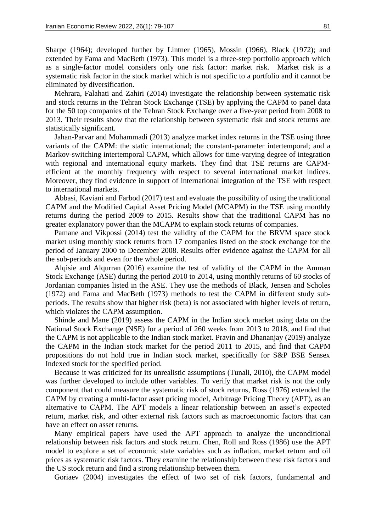Sharpe (1964); developed further by Lintner (1965), Mossin (1966), Black (1972); and extended by Fama and MacBeth (1973). This model is a three-step portfolio approach which as a single-factor model considers only one risk factor: market risk. Market risk is a systematic risk factor in the stock market which is not specific to a portfolio and it cannot be eliminated by diversification.

Mehrara, Falahati and Zahiri (2014) investigate the relationship between systematic risk and stock returns in the Tehran Stock Exchange (TSE) by applying the CAPM to panel data for the 50 top companies of the Tehran Stock Exchange over a five-year period from 2008 to 2013. Their results show that the relationship between systematic risk and stock returns are statistically significant.

Jahan-Parvar and Mohammadi (2013) analyze market index returns in the TSE using three variants of the CAPM: the static international; the constant-parameter intertemporal; and a Markov-switching intertemporal CAPM, which allows for time-varying degree of integration with regional and international equity markets. They find that TSE returns are CAPMefficient at the monthly frequency with respect to several international market indices. Moreover, they find evidence in support of international integration of the TSE with respect to international markets.

Abbasi, Kaviani and Farbod (2017) test and evaluate the possibility of using the traditional CAPM and the Modified Capital Asset Pricing Model (MCAPM) in the TSE using monthly returns during the period 2009 to 2015. Results show that the traditional CAPM has no greater explanatory power than the MCAPM to explain stock returns of companies.

Pamane and Vikpossi (2014) test the validity of the CAPM for the BRVM space stock market using monthly stock returns from 17 companies listed on the stock exchange for the period of January 2000 to December 2008. Results offer evidence against the CAPM for all the sub-periods and even for the whole period.

Alqisie and Alqurran (2016) examine the test of validity of the CAPM in the Amman Stock Exchange (ASE) during the period 2010 to 2014, using monthly returns of 60 stocks of Jordanian companies listed in the ASE. They use the methods of Black, Jensen and Scholes (1972) and Fama and MacBeth (1973) methods to test the CAPM in different study subperiods. The results show that higher risk (beta) is not associated with higher levels of return, which violates the CAPM assumption.

Shinde and Mane (2019) assess the CAPM in the Indian stock market using data on the National Stock Exchange (NSE) for a period of 260 weeks from 2013 to 2018, and find that the CAPM is not applicable to the Indian stock market. Pravin and Dhananjay (2019) analyze the CAPM in the Indian stock market for the period 2011 to 2015, and find that CAPM propositions do not hold true in Indian stock market, specifically for S&P BSE Sensex Indexed stock for the specified period.

Because it was criticized for its unrealistic assumptions (Tunali, 2010), the CAPM model was further developed to include other variables. To verify that market risk is not the only component that could measure the systematic risk of stock returns, Ross (1976) extended the CAPM by creating a multi-factor asset pricing model, Arbitrage Pricing Theory (APT), as an alternative to CAPM. The APT models a linear relationship between an asset's expected return, market risk, and other external risk factors such as macroeconomic factors that can have an effect on asset returns.

Many empirical papers have used the APT approach to analyze the unconditional relationship between risk factors and stock return. Chen, Roll and Ross (1986) use the APT model to explore a set of economic state variables such as inflation, market return and oil prices as systematic risk factors. They examine the relationship between these risk factors and the US stock return and find a strong relationship between them.

Goriaev (2004) investigates the effect of two set of risk factors, fundamental and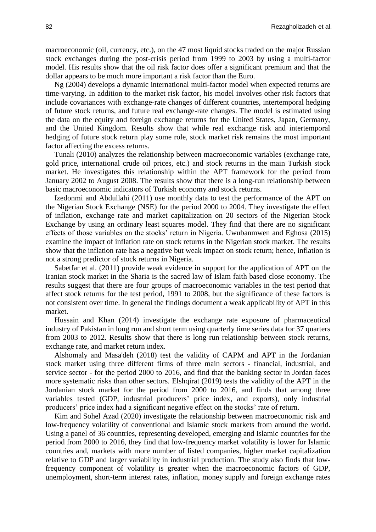macroeconomic (oil, currency, etc.), on the 47 most liquid stocks traded on the major Russian stock exchanges during the post-crisis period from 1999 to 2003 by using a multi-factor model. His results show that the oil risk factor does offer a significant premium and that the dollar appears to be much more important a risk factor than the Euro.

Ng (2004) develops a dynamic international multi-factor model when expected returns are time-varying. In addition to the market risk factor, his model involves other risk factors that include covariances with exchange-rate changes of different countries, intertemporal hedging of future stock returns, and future real exchange-rate changes. The model is estimated using the data on the equity and foreign exchange returns for the United States, Japan, Germany, and the United Kingdom. Results show that while real exchange risk and intertemporal hedging of future stock return play some role, stock market risk remains the most important factor affecting the excess returns.

Tunali (2010) analyzes the relationship between macroeconomic variables (exchange rate, gold price, international crude oil prices, etc.) and stock returns in the main Turkish stock market. He investigates this relationship within the APT framework for the period from January 2002 to August 2008. The results show that there is a long-run relationship between basic macroeconomic indicators of Turkish economy and stock returns.

Izedonmi and Abdullahi (2011) use monthly data to test the performance of the APT on the Nigerian Stock Exchange (NSE) for the period 2000 to 2004. They investigate the effect of inflation, exchange rate and market capitalization on 20 sectors of the Nigerian Stock Exchange by using an ordinary least squares model. They find that there are no significant effects of those variables on the stocks' return in Nigeria. Uwubanmwen and Eghosa (2015) examine the impact of inflation rate on stock returns in the Nigerian stock market. The results show that the inflation rate has a negative but weak impact on stock return; hence, inflation is not a strong predictor of stock returns in Nigeria.

Sabetfar et al. (2011) provide weak evidence in support for the application of APT on the Iranian stock market in the Sharia is the sacred law of Islam faith based close economy. The results suggest that there are four groups of macroeconomic variables in the test period that affect stock returns for the test period, 1991 to 2008, but the significance of these factors is not consistent over time. In general the findings document a weak applicability of APT in this market.

Hussain and Khan (2014) investigate the exchange rate exposure of pharmaceutical industry of Pakistan in long run and short term using quarterly time series data for 37 quarters from 2003 to 2012. Results show that there is long run relationship between stock returns, exchange rate, and market return index.

Alshomaly and Masa'deh (2018) test the validity of CAPM and APT in the Jordanian stock market using three different firms of three main sectors - financial, industrial, and service sector - for the period 2000 to 2016, and find that the banking sector in Jordan faces more systematic risks than other sectors. Elshqirat (2019) tests the validity of the APT in the Jordanian stock market for the period from 2000 to 2016, and finds that among three variables tested (GDP, industrial producers' price index, and exports), only industrial producers' price index had a significant negative effect on the stocks' rate of return.

Kim and Sohel Azad (2020) investigate the relationship between macroeconomic risk and low-frequency volatility of conventional and Islamic stock markets from around the world. Using a panel of 36 countries, representing developed, emerging and Islamic countries for the period from 2000 to 2016, they find that low-frequency market volatility is lower for Islamic countries and, markets with more number of listed companies, higher market capitalization relative to GDP and larger variability in industrial production. The study also finds that lowfrequency component of volatility is greater when the macroeconomic factors of GDP, unemployment, short-term interest rates, inflation, money supply and foreign exchange rates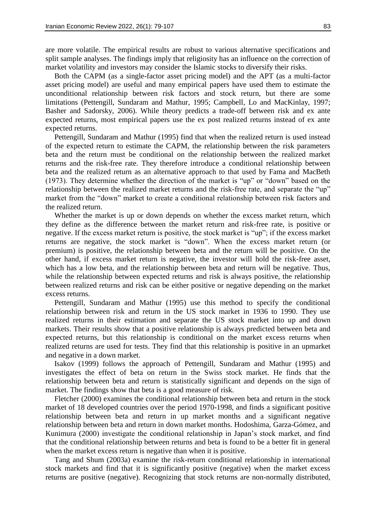are more volatile. The empirical results are robust to various alternative specifications and split sample analyses. The findings imply that religiosity has an influence on the correction of market volatility and investors may consider the Islamic stocks to diversify their risks.

Both the CAPM (as a single-factor asset pricing model) and the APT (as a multi-factor asset pricing model) are useful and many empirical papers have used them to estimate the unconditional relationship between risk factors and stock return, but there are some limitations (Pettengill, Sundaram and Mathur, 1995; Campbell, Lo and MacKinlay, 1997; Basher and Sadorsky, 2006). While theory predicts a trade-off between risk and ex ante expected returns, most empirical papers use the ex post realized returns instead of ex ante expected returns.

Pettengill, Sundaram and Mathur (1995) find that when the realized return is used instead of the expected return to estimate the CAPM, the relationship between the risk parameters beta and the return must be conditional on the relationship between the realized market returns and the risk-free rate. They therefore introduce a conditional relationship between beta and the realized return as an alternative approach to that used by Fama and MacBeth (1973). They determine whether the direction of the market is "up" or "down" based on the relationship between the realized market returns and the risk-free rate, and separate the "up" market from the "down" market to create a conditional relationship between risk factors and the realized return.

Whether the market is up or down depends on whether the excess market return, which they define as the difference between the market return and risk-free rate, is positive or negative. If the excess market return is positive, the stock market is "up"; if the excess market returns are negative, the stock market is "down". When the excess market return (or premium) is positive, the relationship between beta and the return will be positive. On the other hand, if excess market return is negative, the investor will hold the risk-free asset, which has a low beta, and the relationship between beta and return will be negative. Thus, while the relationship between expected returns and risk is always positive, the relationship between realized returns and risk can be either positive or negative depending on the market excess returns.

Pettengill, Sundaram and Mathur (1995) use this method to specify the conditional relationship between risk and return in the US stock market in 1936 to 1990. They use realized returns in their estimation and separate the US stock market into up and down markets. Their results show that a positive relationship is always predicted between beta and expected returns, but this relationship is conditional on the market excess returns when realized returns are used for tests. They find that this relationship is positive in an upmarket and negative in a down market.

Isakov (1999) follows the approach of Pettengill, Sundaram and Mathur (1995) and investigates the effect of beta on return in the Swiss stock market. He finds that the relationship between beta and return is statistically significant and depends on the sign of market. The findings show that beta is a good measure of risk.

Fletcher (2000) examines the conditional relationship between beta and return in the stock market of 18 developed countries over the period 1970-1998, and finds a significant positive relationship between beta and return in up market months and a significant negative relationship between beta and return in down market months. Hodoshima, Garza-Gómez, and Kunimura (2000) investigate the conditional relationship in Japan's stock market, and find that the conditional relationship between returns and beta is found to be a better fit in general when the market excess return is negative than when it is positive.

Tang and Shum (2003a) examine the risk-return conditional relationship in international stock markets and find that it is significantly positive (negative) when the market excess returns are positive (negative). Recognizing that stock returns are non-normally distributed,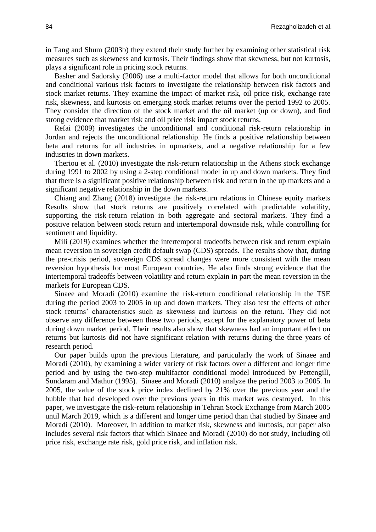in Tang and Shum (2003b) they extend their study further by examining other statistical risk measures such as skewness and kurtosis. Their findings show that skewness, but not kurtosis, plays a significant role in pricing stock returns.

Basher and Sadorsky (2006) use a multi-factor model that allows for both unconditional and conditional various risk factors to investigate the relationship between risk factors and stock market returns. They examine the impact of market risk, oil price risk, exchange rate risk, skewness, and kurtosis on emerging stock market returns over the period 1992 to 2005. They consider the direction of the stock market and the oil market (up or down), and find strong evidence that market risk and oil price risk impact stock returns.

Refai (2009) investigates the unconditional and conditional risk-return relationship in Jordan and rejects the unconditional relationship. He finds a positive relationship between beta and returns for all industries in upmarkets, and a negative relationship for a few industries in down markets.

Theriou et al. (2010) investigate the risk-return relationship in the Athens stock exchange during 1991 to 2002 by using a 2-step conditional model in up and down markets. They find that there is a significant positive relationship between risk and return in the up markets and a significant negative relationship in the down markets.

Chiang and Zhang (2018) investigate the risk-return relations in Chinese equity markets Results show that stock returns are positively correlated with predictable volatility, supporting the risk-return relation in both aggregate and sectoral markets. They find a positive relation between stock return and intertemporal downside risk, while controlling for sentiment and liquidity.

Mili (2019) examines whether the intertemporal tradeoffs between risk and return explain mean reversion in sovereign credit default swap (CDS) spreads. The results show that, during the pre-crisis period, sovereign CDS spread changes were more consistent with the mean reversion hypothesis for most European countries. He also finds strong evidence that the intertemporal tradeoffs between volatility and return explain in part the mean reversion in the markets for European CDS.

Sinaee and Moradi (2010) examine the risk-return conditional relationship in the TSE during the period 2003 to 2005 in up and down markets. They also test the effects of other stock returns' characteristics such as skewness and kurtosis on the return. They did not observe any difference between these two periods, except for the explanatory power of beta during down market period. Their results also show that skewness had an important effect on returns but kurtosis did not have significant relation with returns during the three years of research period.

Our paper builds upon the previous literature, and particularly the work of Sinaee and Moradi (2010), by examining a wider variety of risk factors over a different and longer time period and by using the two-step multifactor conditional model introduced by Pettengill, Sundaram and Mathur (1995). Sinaee and Moradi (2010) analyze the period 2003 to 2005. In 2005, the value of the stock price index declined by 21% over the previous year and the bubble that had developed over the previous years in this market was destroyed. In this paper, we investigate the risk-return relationship in Tehran Stock Exchange from March 2005 until March 2019, which is a different and longer time period than that studied by Sinaee and Moradi (2010). Moreover, in addition to market risk, skewness and kurtosis, our paper also includes several risk factors that which Sinaee and Moradi (2010) do not study, including oil price risk, exchange rate risk, gold price risk, and inflation risk.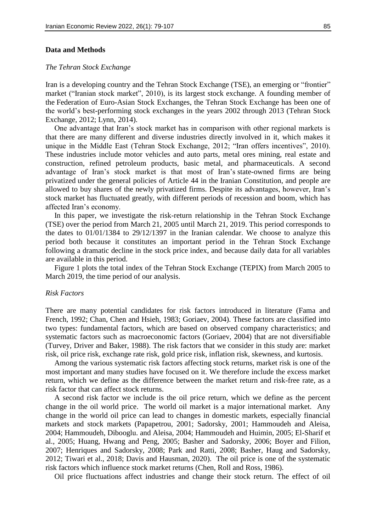# *The Tehran Stock Exchange*

Iran is a developing country and the Tehran Stock Exchange (TSE), an emerging or "frontier" market ("Iranian stock market", 2010), is its largest stock exchange. A founding member of the Federation of Euro-Asian Stock Exchanges, the Tehran Stock Exchange has been one of the world's best-performing stock exchanges in the years 2002 through 2013 (Tehran Stock Exchange, 2012; Lynn, 2014).

One advantage that Iran's stock market has in comparison with other regional markets is that there are many different and diverse industries directly involved in it, which makes it unique in the Middle East (Tehran Stock Exchange, 2012; "Iran offers incentives", 2010). These industries include motor vehicles and auto parts, metal ores mining, real estate and construction, refined petroleum products, basic metal, and pharmaceuticals. A second advantage of Iran's stock market is that most of Iran's state-owned firms are being privatized under the general policies of Article 44 in the Iranian Constitution, and people are allowed to buy shares of the newly privatized firms. Despite its advantages, however, Iran's stock market has fluctuated greatly, with different periods of recession and boom, which has affected Iran's economy.

In this paper, we investigate the risk-return relationship in the Tehran Stock Exchange (TSE) over the period from March 21, 2005 until March 21, 2019. This period corresponds to the dates to 01/01/1384 to 29/12/1397 in the Iranian calendar. We choose to analyze this period both because it constitutes an important period in the Tehran Stock Exchange following a dramatic decline in the stock price index, and because daily data for all variables are available in this period.

Figure 1 plots the total index of the Tehran Stock Exchange (TEPIX) from March 2005 to March 2019, the time period of our analysis.

# *Risk Factors*

There are many potential candidates for risk factors introduced in literature (Fama and French, 1992; Chan, Chen and Hsieh, 1983; Goriaev, 2004). These factors are classified into two types: fundamental factors, which are based on observed company characteristics; and systematic factors such as macroeconomic factors (Goriaev, 2004) that are not diversifiable (Turvey, Driver and Baker, 1988). The risk factors that we consider in this study are: market risk, oil price risk, exchange rate risk, gold price risk, inflation risk, skewness, and kurtosis.

Among the various systematic risk factors affecting stock returns, market risk is one of the most important and many studies have focused on it. We therefore include the excess market return, which we define as the difference between the market return and risk-free rate, as a risk factor that can affect stock returns.

A second risk factor we include is the oil price return, which we define as the percent change in the oil world price. The world oil market is a major international market. Any change in the world oil price can lead to changes in domestic markets, especially financial markets and stock markets (Papapetrou, 2001; Sadorsky, 2001; Hammoudeh and Aleisa, 2004; Hammoudeh, Dibooglu. and Aleisa, 2004; Hammoudeh and Huimin, 2005; El-Sharif et al., 2005; Huang, Hwang and Peng, 2005; Basher and Sadorsky, 2006; Boyer and Filion, 2007; Henriques and Sadorsky, 2008; Park and Ratti, 2008; Basher, Haug and Sadorsky, 2012; Tiwari et al., 2018; Davis and Hausman, 2020). The oil price is one of the systematic risk factors which influence stock market returns (Chen, Roll and Ross, 1986).

Oil price fluctuations affect industries and change their stock return. The effect of oil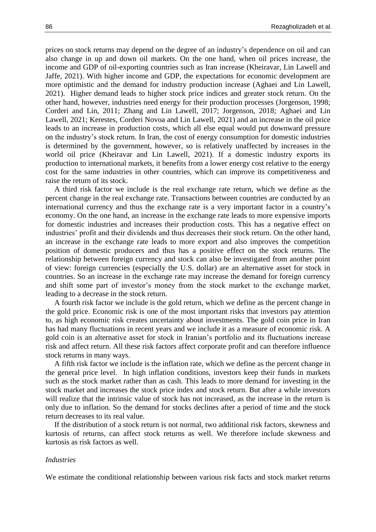prices on stock returns may depend on the degree of an industry's dependence on oil and can also change in up and down oil markets. On the one hand, when oil prices increase, the income and GDP of oil-exporting countries such as Iran increase (Kheiravar, Lin Lawell and Jaffe, 2021). With higher income and GDP, the expectations for economic development are more optimistic and the demand for industry production increase (Aghaei and Lin Lawell, 2021). Higher demand leads to higher stock price indices and greater stock return. On the other hand, however, industries need energy for their production processes (Jorgenson, 1998; Corderi and Lin, 2011; Zhang and Lin Lawell, 2017; Jorgenson, 2018; Aghaei and Lin Lawell, 2021; Kerestes, Corderi Novoa and Lin Lawell, 2021) and an increase in the oil price leads to an increase in production costs, which all else equal would put downward pressure on the industry's stock return. In Iran, the cost of energy consumption for domestic industries is determined by the government, however, so is relatively unaffected by increases in the world oil price (Kheiravar and Lin Lawell, 2021). If a domestic industry exports its production to international markets, it benefits from a lower energy cost relative to the energy cost for the same industries in other countries, which can improve its competitiveness and raise the return of its stock.

A third risk factor we include is the real exchange rate return, which we define as the percent change in the real exchange rate. Transactions between countries are conducted by an international currency and thus the exchange rate is a very important factor in a country's economy. On the one hand, an increase in the exchange rate leads to more expensive imports for domestic industries and increases their production costs. This has a negative effect on industries' profit and their dividends and thus decreases their stock return. On the other hand, an increase in the exchange rate leads to more export and also improves the competition position of domestic producers and thus has a positive effect on the stock returns. The relationship between foreign currency and stock can also be investigated from another point of view: foreign currencies (especially the U.S. dollar) are an alternative asset for stock in countries. So an increase in the exchange rate may increase the demand for foreign currency and shift some part of investor's money from the stock market to the exchange market, leading to a decrease in the stock return.

A fourth risk factor we include is the gold return, which we define as the percent change in the gold price. Economic risk is one of the most important risks that investors pay attention to, as high economic risk creates uncertainty about investments. The gold coin price in Iran has had many fluctuations in recent years and we include it as a measure of economic risk. A gold coin is an alternative asset for stock in Iranian's portfolio and its fluctuations increase risk and affect return. All these risk factors affect corporate profit and can therefore influence stock returns in many ways.

A fifth risk factor we include is the inflation rate, which we define as the percent change in the general price level. In high inflation conditions, investors keep their funds in markets such as the stock market rather than as cash. This leads to more demand for investing in the stock market and increases the stock price index and stock return. But after a while investors will realize that the intrinsic value of stock has not increased, as the increase in the return is only due to inflation. So the demand for stocks declines after a period of time and the stock return decreases to its real value.

If the distribution of a stock return is not normal, two additional risk factors, skewness and kurtosis of returns, can affect stock returns as well. We therefore include skewness and kurtosis as risk factors as well.

### *Industries*

We estimate the conditional relationship between various risk facts and stock market returns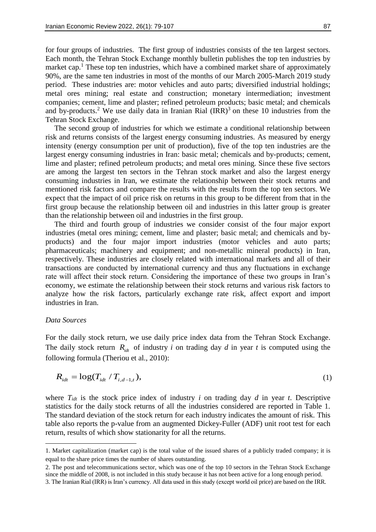for four groups of industries. The first group of industries consists of the ten largest sectors. Each month, the Tehran Stock Exchange monthly bulletin publishes the top ten industries by market cap.<sup>1</sup> These top ten industries, which have a combined market share of approximately 90%, are the same ten industries in most of the months of our March 2005-March 2019 study period. These industries are: motor vehicles and auto parts; diversified industrial holdings; metal ores mining; real estate and construction; monetary intermediation; investment companies; cement, lime and plaster; refined petroleum products; basic metal; and chemicals and by-products.<sup>2</sup> We use daily data in Iranian Rial  $\text{(IRR)}^3$  on these 10 industries from the Tehran Stock Exchange.

The second group of industries for which we estimate a conditional relationship between risk and returns consists of the largest energy consuming industries. As measured by energy intensity (energy consumption per unit of production), five of the top ten industries are the largest energy consuming industries in Iran: basic metal; chemicals and by-products; cement, lime and plaster; refined petroleum products; and metal ores mining. Since these five sectors are among the largest ten sectors in the Tehran stock market and also the largest energy consuming industries in Iran, we estimate the relationship between their stock returns and mentioned risk factors and compare the results with the results from the top ten sectors. We expect that the impact of oil price risk on returns in this group to be different from that in the first group because the relationship between oil and industries in this latter group is greater than the relationship between oil and industries in the first group.

The third and fourth group of industries we consider consist of the four major export industries (metal ores mining; cement, lime and plaster; basic metal; and chemicals and byproducts) and the four major import industries (motor vehicles and auto parts; pharmaceuticals; machinery and equipment; and non-metallic mineral products) in Iran, respectively. These industries are closely related with international markets and all of their transactions are conducted by international currency and thus any fluctuations in exchange rate will affect their stock return. Considering the importance of these two groups in Iran's economy, we estimate the relationship between their stock returns and various risk factors to analyze how the risk factors, particularly exchange rate risk, affect export and import industries in Iran.

# *Data Sources*

-

For the daily stock return, we use daily price index data from the Tehran Stock Exchange. The daily stock return  $R_{idt}$  of industry *i* on trading day *d* in year *t* is computed using the following formula (Theriou et al., 2010):

$$
R_{idt} = \log(T_{idt} / T_{i,d-1,t}),
$$
\n(1)

where  $T_{idt}$  is the stock price index of industry *i* on trading day *d* in year *t*. Descriptive statistics for the daily stock returns of all the industries considered are reported in Table 1. The standard deviation of the stock return for each industry indicates the amount of risk. This table also reports the p-value from an augmented Dickey-Fuller (ADF) unit root test for each return, results of which show stationarity for all the returns.

<sup>1.</sup> Market capitalization (market cap) is the total value of the issued shares of a publicly traded company; it is equal to the share price times the number of shares outstanding.

<sup>2.</sup> The post and telecommunications sector, which was one of the top 10 sectors in the Tehran Stock Exchange since the middle of 2008, is not included in this study because it has not been active for a long enough period.

<sup>3.</sup> The Iranian Rial (IRR) is Iran's currency. All data used in this study (except world oil price) are based on the IRR.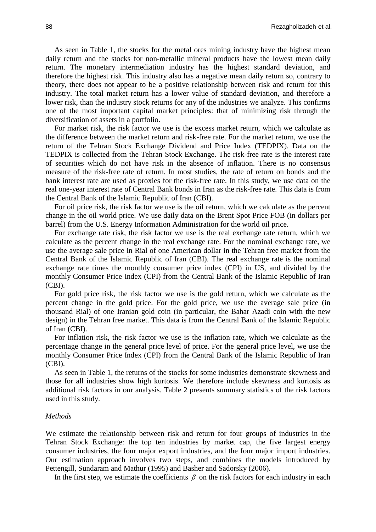As seen in Table 1, the stocks for the metal ores mining industry have the highest mean daily return and the stocks for non-metallic mineral products have the lowest mean daily return. The monetary intermediation industry has the highest standard deviation, and therefore the highest risk. This industry also has a negative mean daily return so, contrary to theory, there does not appear to be a positive relationship between risk and return for this industry. The total market return has a lower value of standard deviation, and therefore a lower risk, than the industry stock returns for any of the industries we analyze. This confirms one of the most important capital market principles: that of minimizing risk through the diversification of assets in a portfolio.

For market risk, the risk factor we use is the excess market return, which we calculate as the difference between the market return and risk-free rate. For the market return, we use the return of the Tehran Stock Exchange Dividend and Price Index (TEDPIX). Data on the TEDPIX is collected from the Tehran Stock Exchange. The risk-free rate is the interest rate of securities which do not have risk in the absence of inflation. There is no consensus measure of the risk-free rate of return. In most studies, the rate of return on bonds and the bank interest rate are used as proxies for the risk-free rate. In this study, we use data on the real one-year interest rate of Central Bank bonds in Iran as the risk-free rate. This data is from the Central Bank of the Islamic Republic of Iran (CBI).

For oil price risk, the risk factor we use is the oil return, which we calculate as the percent change in the oil world price. We use daily data on the Brent Spot Price FOB (in dollars per barrel) from the U.S. Energy Information Administration for the world oil price.

For exchange rate risk, the risk factor we use is the real exchange rate return, which we calculate as the percent change in the real exchange rate. For the nominal exchange rate, we use the average sale price in Rial of one American dollar in the Tehran free market from the Central Bank of the Islamic Republic of Iran (CBI). The real exchange rate is the nominal exchange rate times the monthly consumer price index (CPI) in US, and divided by the monthly Consumer Price Index (CPI) from the Central Bank of the Islamic Republic of Iran (CBI).

For gold price risk, the risk factor we use is the gold return, which we calculate as the percent change in the gold price. For the gold price, we use the average sale price (in thousand Rial) of one Iranian gold coin (in particular, the Bahar Azadi coin with the new design) in the Tehran free market. This data is from the Central Bank of the Islamic Republic of Iran (CBI).

For inflation risk, the risk factor we use is the inflation rate, which we calculate as the percentage change in the general price level of price. For the general price level, we use the monthly Consumer Price Index (CPI) from the Central Bank of the Islamic Republic of Iran (CBI).

As seen in Table 1, the returns of the stocks for some industries demonstrate skewness and those for all industries show high kurtosis. We therefore include skewness and kurtosis as additional risk factors in our analysis. Table 2 presents summary statistics of the risk factors used in this study.

#### *Methods*

We estimate the relationship between risk and return for four groups of industries in the Tehran Stock Exchange: the top ten industries by market cap, the five largest energy consumer industries, the four major export industries, and the four major import industries. Our estimation approach involves two steps, and combines the models introduced by Pettengill, Sundaram and Mathur (1995) and Basher and Sadorsky (2006).

In the first step, we estimate the coefficients  $\beta$  on the risk factors for each industry in each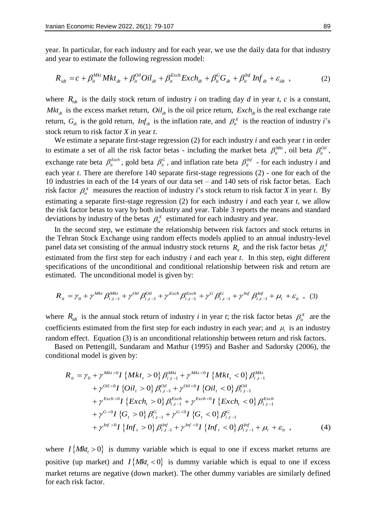year. In particular, for each industry and for each year, we use the daily data for that industry and year to estimate the following regression model:<br>  $R_{idt} = c + \beta_{it}^{Mkt} Mkt_{dt} + \beta_{it}^{Oil} Oil_{dt} + \beta_{it}^{Exch} Exch_{dt} + \beta_{it}^{G}G_{dt} + \beta_{it$ and year to estimate the following regression model:

$$
R_{idt} = c + \beta_{it}^{Mkt} Mkt_{dt} + \beta_{it}^{Oil} Oil_{dt} + \beta_{it}^{Exch} Exch_{dt} + \beta_{it}^{G}G_{dt} + \beta_{it}^{Inf} Inf_{dt} + \varepsilon_{idt} , \qquad (2)
$$

where  $R_{\text{int}}$  is the daily stock return of industry *i* on trading day *d* in year *t*, *c* is a constant, *Mkt<sub>dt</sub>* is the excess market return,  $Oil_{dt}$  is the oil price return,  $Exch_{dt}$  is the real exchange rate return,  $G_{dt}$  is the gold return,  $Inf_{dt}$  is the inflation rate, and  $\beta_{it}^{X}$  is the reaction of industry *i*'s stock return to risk factor *X* in year *t*.

We estimate a separate first-stage regression (2) for each industry *i* and each year *t* in order to estimate a set of all the risk factor betas - including the market beta  $\beta_{it}^{Mkt}$ , oil beta  $\beta_{it}^{oil}$ , exchange rate beta  $\beta_i^{Exch}$ , gold beta  $\beta_i^G$ , and inflation rate beta  $\beta_i^{Inf}$  - for each industry *i* and each year *t*. There are therefore 140 separate first-stage regressions (2) - one for each of the 10 industries in each of the 14 years of our data set – and 140 sets of risk factor betas. Each risk factor  $\beta_i^X$  measures the reaction of industry *i*'s stock return to risk factor *X* in year *t*. By estimating a separate first-stage regression (2) for each industry *i* and each year *t*, we allow the risk factor betas to vary by both industry and year. Table 3 reports the means and standard deviations by industry of the betas  $\beta_i^X$  estimated for each industry and year.

In the second step, we estimate the relationship between risk factors and stock returns in the Tehran Stock Exchange using random effects models applied to an annual industry-level panel data set consisting of the annual industry stock returns  $R_i$  and the risk factor betas  $\beta_i^x$ estimated from the first step for each industry *i* and each year *t*. In this step, eight different specifications of the unconditional and conditional relationship between risk and return are estimated. The unconditional model is given by:<br>  $R_{ii} = \gamma_0 + \gamma^{Mkt} \beta_{i,t-1}^{Mkt} + \gamma^{Oil} \beta_{i,t-1}^{Oil} + \gamma^{Exch} \beta_{i,t-1}^{Exch} + \gamma^G \beta_{i,t-1$ estimated. The unconditional model is given by:

$$
R_{it} = \gamma_0 + \gamma^{Mkt} \beta_{i,t-1}^{Mkt} + \gamma^{Oil} \beta_{i,t-1}^{Oil} + \gamma^{Exch} \beta_{i,t-1}^{Exch} + \gamma^G \beta_{i,t-1}^G + \gamma^{Inf} \beta_{i,t-1}^{Inf} + \mu_i + \varepsilon_{it} \quad , \quad (3)
$$

where  $R_{idt}$  is the annual stock return of industry *i* in year *t*; the risk factor betas  $\beta_{it}^X$  are the coefficients estimated from the first step for each industry in each year; and  $\mu_i$  is an industry random effect. Equation (3) is an unconditional relationship between return and risk factors.

Based on Pettengill, Sundaram and Mathur (1995) and Basher and Sadorsky (2006), the national model is given by:<br>  $R_{ii} = \gamma_0 + \gamma^{Mkt > 0} I \{Mkt_t > 0\} \beta_{i,t-1}^{Mkt} + \gamma^{Mkt < 0} I \{Mkt_t < 0\} \beta_{i,t-1}^{Mkt}$ <br>  $\beta_{ii}^{Mkt} = \beta_{ii}^{Mkt} \beta_{ii} \beta_{ii$ conditional model is given by:

$$
R_{it} = \gamma_0 + \gamma^{Mkt > 0} I \{Mkt_t > 0\} \beta_{i,t-1}^{Mkt} + \gamma^{Mkt < 0} I \{Mkt_t < 0\} \beta_{i,t-1}^{Mkt} + \gamma^{Oit > 0} I \{Oil_t > 0\} \beta_{i,t-1}^{Oit} + \gamma^{Oit < 0} I \{Oil_t < 0\} \beta_{i,t-1}^{Oit} + \gamma^{Exch > 0} I \{Exch_t > 0\} \beta_{i,t-1}^{Exch} + \gamma^{Exch < 0} I \{Exch_t < 0\} \beta_{i,t-1}^{Exch} + \gamma^{G > 0} I \{G_t > 0\} \beta_{i,t-1}^{G} + \gamma^{G < 0} I \{G_t < 0\} \beta_{i,t-1}^{G} + \gamma^{Inf > 0} I \{Inf_t > 0\} \beta_{i,t-1}^{Inf} + \gamma^{Inf < 0} I \{Inf_t < 0\} \beta_{i,t-1}^{Inf} + \mu_i + \varepsilon_{it} ,
$$
\n(4)

where  $I\{Mkt_t > 0\}$  is dummy variable which is equal to one if excess market returns are positive (up market) and  $I\{Mkt, < 0\}$  is dummy variable which is equal to one if excess market returns are negative (down market). The other dummy variables are similarly defined for each risk factor.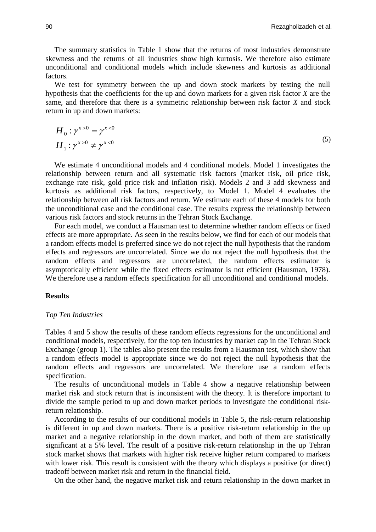The summary statistics in Table 1 show that the returns of most industries demonstrate skewness and the returns of all industries show high kurtosis. We therefore also estimate unconditional and conditional models which include skewness and kurtosis as additional factors.

We test for symmetry between the up and down stock markets by testing the null hypothesis that the coefficients for the up and down markets for a given risk factor *X* are the same, and therefore that there is a symmetric relationship between risk factor *X* and stock return in up and down markets:

$$
H_0: \gamma^{x>0} = \gamma^{x<0}
$$
  
\n
$$
H_1: \gamma^{x>0} \neq \gamma^{x<0}
$$
\n(5)

We estimate 4 unconditional models and 4 conditional models. Model 1 investigates the relationship between return and all systematic risk factors (market risk, oil price risk, exchange rate risk, gold price risk and inflation risk). Models 2 and 3 add skewness and kurtosis as additional risk factors, respectively, to Model 1. Model 4 evaluates the relationship between all risk factors and return. We estimate each of these 4 models for both the unconditional case and the conditional case. The results express the relationship between various risk factors and stock returns in the Tehran Stock Exchange.

For each model, we conduct a Hausman test to determine whether random effects or fixed effects are more appropriate. As seen in the results below, we find for each of our models that a random effects model is preferred since we do not reject the null hypothesis that the random effects and regressors are uncorrelated. Since we do not reject the null hypothesis that the random effects and regressors are uncorrelated, the random effects estimator is asymptotically efficient while the fixed effects estimator is not efficient (Hausman, 1978). We therefore use a random effects specification for all unconditional and conditional models.

# **Results**

# *Top Ten Industries*

Tables 4 and 5 show the results of these random effects regressions for the unconditional and conditional models, respectively, for the top ten industries by market cap in the Tehran Stock Exchange (group 1). The tables also present the results from a Hausman test, which show that a random effects model is appropriate since we do not reject the null hypothesis that the random effects and regressors are uncorrelated. We therefore use a random effects specification.

The results of unconditional models in Table 4 show a negative relationship between market risk and stock return that is inconsistent with the theory. It is therefore important to divide the sample period to up and down market periods to investigate the conditional riskreturn relationship.

According to the results of our conditional models in Table 5, the risk-return relationship is different in up and down markets. There is a positive risk-return relationship in the up market and a negative relationship in the down market, and both of them are statistically significant at a 5% level. The result of a positive risk-return relationship in the up Tehran stock market shows that markets with higher risk receive higher return compared to markets with lower risk. This result is consistent with the theory which displays a positive (or direct) tradeoff between market risk and return in the financial field.

On the other hand, the negative market risk and return relationship in the down market in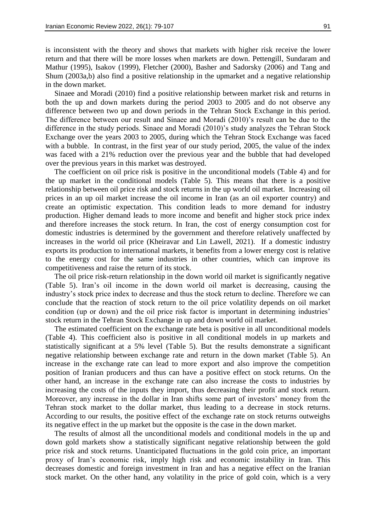is inconsistent with the theory and shows that markets with higher risk receive the lower return and that there will be more losses when markets are down. Pettengill, Sundaram and Mathur (1995), Isakov (1999), Fletcher (2000), Basher and Sadorsky (2006) and Tang and Shum (2003a,b) also find a positive relationship in the upmarket and a negative relationship in the down market.

Sinaee and Moradi (2010) find a positive relationship between market risk and returns in both the up and down markets during the period 2003 to 2005 and do not observe any difference between two up and down periods in the Tehran Stock Exchange in this period. The difference between our result and Sinaee and Moradi (2010)'s result can be due to the difference in the study periods. Sinaee and Moradi (2010)'s study analyzes the Tehran Stock Exchange over the years 2003 to 2005, during which the Tehran Stock Exchange was faced with a bubble. In contrast, in the first year of our study period, 2005, the value of the index was faced with a 21% reduction over the previous year and the bubble that had developed over the previous years in this market was destroyed.

The coefficient on oil price risk is positive in the unconditional models (Table 4) and for the up market in the conditional models (Table 5). This means that there is a positive relationship between oil price risk and stock returns in the up world oil market. Increasing oil prices in an up oil market increase the oil income in Iran (as an oil exporter country) and create an optimistic expectation. This condition leads to more demand for industry production. Higher demand leads to more income and benefit and higher stock price index and therefore increases the stock return. In Iran, the cost of energy consumption cost for domestic industries is determined by the government and therefore relatively unaffected by increases in the world oil price (Kheiravar and Lin Lawell, 2021). If a domestic industry exports its production to international markets, it benefits from a lower energy cost is relative to the energy cost for the same industries in other countries, which can improve its competitiveness and raise the return of its stock.

The oil price risk-return relationship in the down world oil market is significantly negative (Table 5). Iran's oil income in the down world oil market is decreasing, causing the industry's stock price index to decrease and thus the stock return to decline. Therefore we can conclude that the reaction of stock return to the oil price volatility depends on oil market condition (up or down) and the oil price risk factor is important in determining industries' stock return in the Tehran Stock Exchange in up and down world oil market.

The estimated coefficient on the exchange rate beta is positive in all unconditional models (Table 4). This coefficient also is positive in all conditional models in up markets and statistically significant at a 5% level (Table 5). But the results demonstrate a significant negative relationship between exchange rate and return in the down market (Table 5). An increase in the exchange rate can lead to more export and also improve the competition position of Iranian producers and thus can have a positive effect on stock returns. On the other hand, an increase in the exchange rate can also increase the costs to industries by increasing the costs of the inputs they import, thus decreasing their profit and stock return. Moreover, any increase in the dollar in Iran shifts some part of investors' money from the Tehran stock market to the dollar market, thus leading to a decrease in stock returns. According to our results, the positive effect of the exchange rate on stock returns outweighs its negative effect in the up market but the opposite is the case in the down market.

The results of almost all the unconditional models and conditional models in the up and down gold markets show a statistically significant negative relationship between the gold price risk and stock returns. Unanticipated fluctuations in the gold coin price, an important proxy of Iran's economic risk, imply high risk and economic instability in Iran. This decreases domestic and foreign investment in Iran and has a negative effect on the Iranian stock market. On the other hand, any volatility in the price of gold coin, which is a very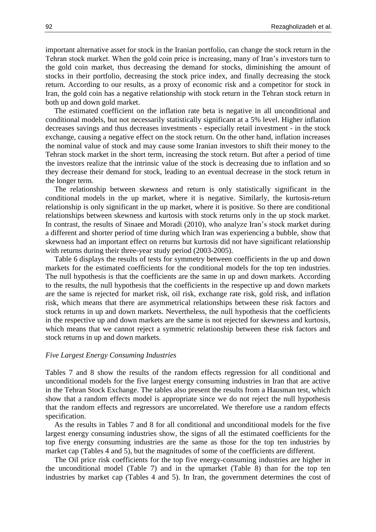important alternative asset for stock in the Iranian portfolio, can change the stock return in the Tehran stock market. When the gold coin price is increasing, many of Iran's investors turn to the gold coin market, thus decreasing the demand for stocks, diminishing the amount of stocks in their portfolio, decreasing the stock price index, and finally decreasing the stock return. According to our results, as a proxy of economic risk and a competitor for stock in Iran, the gold coin has a negative relationship with stock return in the Tehran stock return in both up and down gold market.

The estimated coefficient on the inflation rate beta is negative in all unconditional and conditional models, but not necessarily statistically significant at a 5% level. Higher inflation decreases savings and thus decreases investments - especially retail investment - in the stock exchange, causing a negative effect on the stock return. On the other hand, inflation increases the nominal value of stock and may cause some Iranian investors to shift their money to the Tehran stock market in the short term, increasing the stock return. But after a period of time the investors realize that the intrinsic value of the stock is decreasing due to inflation and so they decrease their demand for stock, leading to an eventual decrease in the stock return in the longer term.

The relationship between skewness and return is only statistically significant in the conditional models in the up market, where it is negative. Similarly, the kurtosis-return relationship is only significant in the up market, where it is positive. So there are conditional relationships between skewness and kurtosis with stock returns only in the up stock market. In contrast, the results of Sinaee and Moradi (2010), who analyze Iran's stock market during a different and shorter period of time during which Iran was experiencing a bubble, show that skewness had an important effect on returns but kurtosis did not have significant relationship with returns during their three-year study period (2003-2005).

Table 6 displays the results of tests for symmetry between coefficients in the up and down markets for the estimated coefficients for the conditional models for the top ten industries. The null hypothesis is that the coefficients are the same in up and down markets. According to the results, the null hypothesis that the coefficients in the respective up and down markets are the same is rejected for market risk, oil risk, exchange rate risk, gold risk, and inflation risk, which means that there are asymmetrical relationships between these risk factors and stock returns in up and down markets. Nevertheless, the null hypothesis that the coefficients in the respective up and down markets are the same is not rejected for skewness and kurtosis, which means that we cannot reject a symmetric relationship between these risk factors and stock returns in up and down markets.

## *Five Largest Energy Consuming Industries*

Tables 7 and 8 show the results of the random effects regression for all conditional and unconditional models for the five largest energy consuming industries in Iran that are active in the Tehran Stock Exchange. The tables also present the results from a Hausman test, which show that a random effects model is appropriate since we do not reject the null hypothesis that the random effects and regressors are uncorrelated. We therefore use a random effects specification.

As the results in Tables 7 and 8 for all conditional and unconditional models for the five largest energy consuming industries show, the signs of all the estimated coefficients for the top five energy consuming industries are the same as those for the top ten industries by market cap (Tables 4 and 5), but the magnitudes of some of the coefficients are different.

The Oil price risk coefficients for the top five energy-consuming industries are higher in the unconditional model (Table 7) and in the upmarket (Table 8) than for the top ten industries by market cap (Tables 4 and 5). In Iran, the government determines the cost of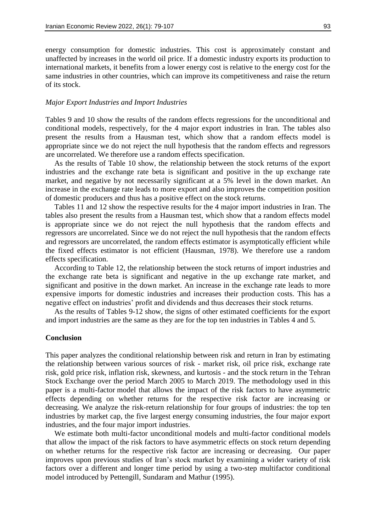energy consumption for domestic industries. This cost is approximately constant and unaffected by increases in the world oil price. If a domestic industry exports its production to international markets, it benefits from a lower energy cost is relative to the energy cost for the same industries in other countries, which can improve its competitiveness and raise the return of its stock.

## *Major Export Industries and Import Industries*

Tables 9 and 10 show the results of the random effects regressions for the unconditional and conditional models, respectively, for the 4 major export industries in Iran. The tables also present the results from a Hausman test, which show that a random effects model is appropriate since we do not reject the null hypothesis that the random effects and regressors are uncorrelated. We therefore use a random effects specification.

As the results of Table 10 show, the relationship between the stock returns of the export industries and the exchange rate beta is significant and positive in the up exchange rate market, and negative by not necessarily significant at a 5% level in the down market. An increase in the exchange rate leads to more export and also improves the competition position of domestic producers and thus has a positive effect on the stock returns.

Tables 11 and 12 show the respective results for the 4 major import industries in Iran. The tables also present the results from a Hausman test, which show that a random effects model is appropriate since we do not reject the null hypothesis that the random effects and regressors are uncorrelated. Since we do not reject the null hypothesis that the random effects and regressors are uncorrelated, the random effects estimator is asymptotically efficient while the fixed effects estimator is not efficient (Hausman, 1978). We therefore use a random effects specification.

According to Table 12, the relationship between the stock returns of import industries and the exchange rate beta is significant and negative in the up exchange rate market, and significant and positive in the down market. An increase in the exchange rate leads to more expensive imports for domestic industries and increases their production costs. This has a negative effect on industries' profit and dividends and thus decreases their stock returns.

As the results of Tables 9-12 show, the signs of other estimated coefficients for the export and import industries are the same as they are for the top ten industries in Tables 4 and 5.

# **Conclusion**

This paper analyzes the conditional relationship between risk and return in Iran by estimating the relationship between various sources of risk - market risk, oil price risk, exchange rate risk, gold price risk, inflation risk, skewness, and kurtosis - and the stock return in the Tehran Stock Exchange over the period March 2005 to March 2019. The methodology used in this paper is a multi-factor model that allows the impact of the risk factors to have asymmetric effects depending on whether returns for the respective risk factor are increasing or decreasing. We analyze the risk-return relationship for four groups of industries: the top ten industries by market cap, the five largest energy consuming industries, the four major export industries, and the four major import industries.

We estimate both multi-factor unconditional models and multi-factor conditional models that allow the impact of the risk factors to have asymmetric effects on stock return depending on whether returns for the respective risk factor are increasing or decreasing. Our paper improves upon previous studies of Iran's stock market by examining a wider variety of risk factors over a different and longer time period by using a two-step multifactor conditional model introduced by Pettengill, Sundaram and Mathur (1995).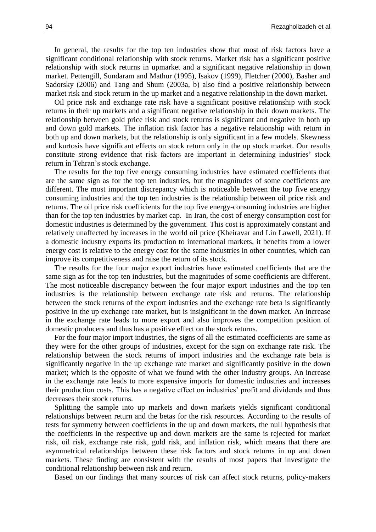In general, the results for the top ten industries show that most of risk factors have a significant conditional relationship with stock returns. Market risk has a significant positive relationship with stock returns in upmarket and a significant negative relationship in down market. Pettengill, Sundaram and Mathur (1995), Isakov (1999), Fletcher (2000), Basher and Sadorsky (2006) and Tang and Shum (2003a, b) also find a positive relationship between market risk and stock return in the up market and a negative relationship in the down market.

Oil price risk and exchange rate risk have a significant positive relationship with stock returns in their up markets and a significant negative relationship in their down markets. The relationship between gold price risk and stock returns is significant and negative in both up and down gold markets. The inflation risk factor has a negative relationship with return in both up and down markets, but the relationship is only significant in a few models. Skewness and kurtosis have significant effects on stock return only in the up stock market. Our results constitute strong evidence that risk factors are important in determining industries' stock return in Tehran's stock exchange.

The results for the top five energy consuming industries have estimated coefficients that are the same sign as for the top ten industries, but the magnitudes of some coefficients are different. The most important discrepancy which is noticeable between the top five energy consuming industries and the top ten industries is the relationship between oil price risk and returns. The oil price risk coefficients for the top five energy-consuming industries are higher than for the top ten industries by market cap. In Iran, the cost of energy consumption cost for domestic industries is determined by the government. This cost is approximately constant and relatively unaffected by increases in the world oil price (Kheiravar and Lin Lawell, 2021). If a domestic industry exports its production to international markets, it benefits from a lower energy cost is relative to the energy cost for the same industries in other countries, which can improve its competitiveness and raise the return of its stock.

The results for the four major export industries have estimated coefficients that are the same sign as for the top ten industries, but the magnitudes of some coefficients are different. The most noticeable discrepancy between the four major export industries and the top ten industries is the relationship between exchange rate risk and returns. The relationship between the stock returns of the export industries and the exchange rate beta is significantly positive in the up exchange rate market, but is insignificant in the down market. An increase in the exchange rate leads to more export and also improves the competition position of domestic producers and thus has a positive effect on the stock returns.

For the four major import industries, the signs of all the estimated coefficients are same as they were for the other groups of industries, except for the sign on exchange rate risk. The relationship between the stock returns of import industries and the exchange rate beta is significantly negative in the up exchange rate market and significantly positive in the down market; which is the opposite of what we found with the other industry groups. An increase in the exchange rate leads to more expensive imports for domestic industries and increases their production costs. This has a negative effect on industries' profit and dividends and thus decreases their stock returns.

Splitting the sample into up markets and down markets yields significant conditional relationships between return and the betas for the risk resources. According to the results of tests for symmetry between coefficients in the up and down markets, the null hypothesis that the coefficients in the respective up and down markets are the same is rejected for market risk, oil risk, exchange rate risk, gold risk, and inflation risk, which means that there are asymmetrical relationships between these risk factors and stock returns in up and down markets. These finding are consistent with the results of most papers that investigate the conditional relationship between risk and return.

Based on our findings that many sources of risk can affect stock returns, policy-makers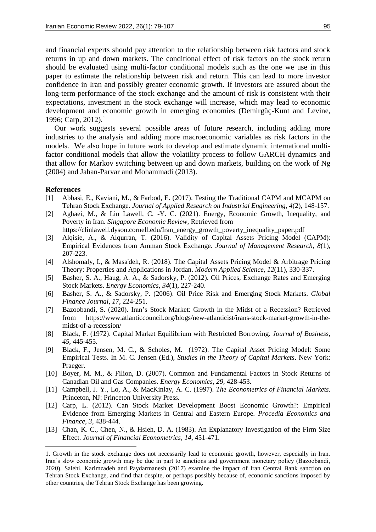and financial experts should pay attention to the relationship between risk factors and stock returns in up and down markets. The conditional effect of risk factors on the stock return should be evaluated using multi-factor conditional models such as the one we use in this paper to estimate the relationship between risk and return. This can lead to more investor confidence in Iran and possibly greater economic growth. If investors are assured about the long-term performance of the stock exchange and the amount of risk is consistent with their expectations, investment in the stock exchange will increase, which may lead to economic development and economic growth in emerging economies (Demirgüç-Kunt and Levine, 1996; Carp, 2012).<sup>1</sup>

Our work suggests several possible areas of future research, including adding more industries to the analysis and adding more macroeconomic variables as risk factors in the models. We also hope in future work to develop and estimate dynamic international multifactor conditional models that allow the volatility process to follow GARCH dynamics and that allow for Markov switching between up and down markets, building on the work of Ng (2004) and Jahan-Parvar and Mohammadi (2013).

## **References**

1

- [1] Abbasi, E., Kaviani, M., & Farbod, E. (2017). Testing the Traditional CAPM and MCAPM on Tehran Stock Exchange. *Journal of Applied Research on Industrial Engineering*, *4*(2), 148-157.
- [2] Aghaei, M., & Lin Lawell, C. -Y. C. (2021). Energy, Economic Growth, Inequality, and Poverty in Iran. *Singapore Economic Review,* Retrieved from
	- https://clinlawell.dyson.cornell.edu/Iran\_energy\_growth\_poverty\_inequality\_paper.pdf
- [3] Alqisie, A., & Alqurran, T. (2016). Validity of Capital Assets Pricing Model (CAPM): Empirical Evidences from Amman Stock Exchange. *Journal of Management Research*, *8*(1), 207-223.
- [4] Alshomaly, I., & Masa'deh, R. (2018). The Capital Assets Pricing Model & Arbitrage Pricing Theory: Properties and Applications in Jordan. *Modern Applied Science*, *12*(11), 330-337.
- [5] Basher, S. A., Haug, A. A., & Sadorsky, P. (2012). Oil Prices, Exchange Rates and Emerging Stock Markets. *Energy Economics*, *34*(1), 227-240.
- [6] Basher, S. A., & Sadorsky, P. (2006). Oil Price Risk and Emerging Stock Markets. *Global Finance Journal*, *17*, 224-251.
- [7] Bazoobandi, S. (2020). Iran's Stock Market: Growth in the Midst of a Recession? Retrieved from https://www.atlanticcouncil.org/blogs/new-atlanticist/irans-stock-market-growth-in-themidst-of-a-recession/
- [8] Black, F. (1972). Capital Market Equilibrium with Restricted Borrowing. *Journal of Business*, *45*, 445-455.
- [9] Black, F., Jensen, M. C., & Scholes, M. (1972). The Capital Asset Pricing Model: Some Empirical Tests. In M. C. Jensen (Ed.), *Studies in the Theory of Capital Markets*. New York: Praeger.
- [10] Boyer, M. M., & Filion, D. (2007). Common and Fundamental Factors in Stock Returns of Canadian Oil and Gas Companies. *Energy Economics*, *29*, 428-453.
- [11] Campbell, J. Y., Lo, A., & MacKinlay, A. C. (1997). *The Econometrics of Financial Markets*. Princeton, NJ: Princeton University Press.
- [12] Carp, L. (2012). Can Stock Market Development Boost Economic Growth?: Empirical Evidence from Emerging Markets in Central and Eastern Europe. *Procedia Economics and Finance*, *3*, 438-444.
- [13] Chan, K. C., Chen, N., & Hsieh, D. A. (1983). An Explanatory Investigation of the Firm Size Effect. *Journal of Financial Econometrics*, *14*, 451-471.

<sup>1.</sup> Growth in the stock exchange does not necessarily lead to economic growth, however, especially in Iran. Iran's slow economic growth may be due in part to sanctions and government monetary policy (Bazoobandi, 2020). Salehi, Karimzadeh and Paydarmanesh (2017) examine the impact of Iran Central Bank sanction on Tehran Stock Exchange, and find that despite, or perhaps possibly because of, economic sanctions imposed by other countries, the Tehran Stock Exchange has been growing.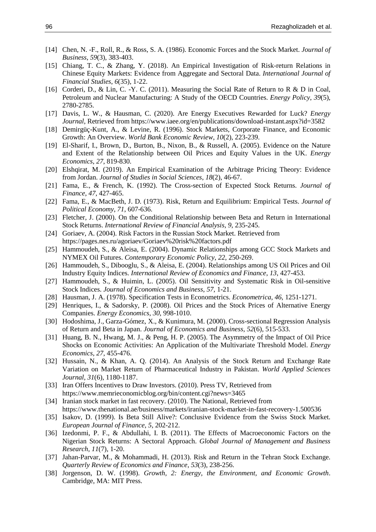- [14] Chen, N. -F., Roll, R., & Ross, S. A. (1986). Economic Forces and the Stock Market. *Journal of Business*, *59*(3), 383-403.
- [15] Chiang, T. C., & Zhang, Y. (2018). An Empirical Investigation of Risk-return Relations in Chinese Equity Markets: Evidence from Aggregate and Sectoral Data. *International Journal of Financial Studies*, *6*(35), 1-22.
- [16] Corderi, D., & Lin, C. -Y. C. (2011). Measuring the Social Rate of Return to R & D in Coal, Petroleum and Nuclear Manufacturing: A Study of the OECD Countries. *Energy Policy*, *39*(5), 2780-2785.
- [17] Davis, L. W., & Hausman, C. (2020). Are Energy Executives Rewarded for Luck? *Energy Journal*, Retrieved from https://www.iaee.org/en/publications/download-instant.aspx?id=3582
- [18] Demirgüç-Kunt, A., & Levine, R. (1996). Stock Markets, Corporate Finance, and Economic Growth: An Overview. *World Bank Economic Review*, *10*(2), 223-239.
- [19] El-Sharif, I., Brown, D., Burton, B., Nixon, B., & Russell, A. (2005). Evidence on the Nature and Extent of the Relationship between Oil Prices and Equity Values in the UK. *Energy Economics*, *27*, 819-830.
- [20] Elshqirat, M. (2019). An Empirical Examination of the Arbitrage Pricing Theory: Evidence from Jordan. *Journal of Studies in Social Sciences*, *18*(2), 46-67.
- [21] Fama, E., & French, K. (1992). The Cross-section of Expected Stock Returns. *Journal of Finance*, *47*, 427-465.
- [22] Fama, E., & MacBeth, J. D. (1973). Risk, Return and Equilibrium: Empirical Tests. *Journal of Political Economy*, *71*, 607-636.
- [23] Fletcher, J. (2000). On the Conditional Relationship between Beta and Return in International Stock Returns. *International Review of Financial Analysis*, *9*, 235-245.
- [24] Goriaev, A. (2004). Risk Factors in the Russian Stock Market. Retrieved from https://pages.nes.ru/agoriaev/Goriaev%20risk%20factors.pdf
- [25] Hammoudeh, S., & Aleisa, E. (2004). Dynamic Relationships among GCC Stock Markets and NYMEX Oil Futures. *Contemporary Economic Policy*, *22*, 250-269.
- [26] Hammoudeh, S., Dibooglu, S., & Aleisa, E. (2004). Relationships among US Oil Prices and Oil Industry Equity Indices. *International Review of Economics and Finance*, *13*, 427-453.
- [27] Hammoudeh, S., & Huimin, L. (2005). Oil Sensitivity and Systematic Risk in Oil-sensitive Stock Indices. *Journal of Economics and Business*, *57*, 1-21.
- [28] Hausman, J. A. (1978). Specification Tests in Econometrics. *Econometrica*, *46*, 1251-1271.
- [29] Henriques, I., & Sadorsky, P. (2008). Oil Prices and the Stock Prices of Alternative Energy Companies. *Energy Economics*, *30*, 998-1010.
- [30] Hodoshima, J., Garza-Gómez, X., & Kunimura, M. (2000). Cross-sectional Regression Analysis of Return and Beta in Japan. *Journal of Economics and Business*, *52*(6), 515-533.
- [31] Huang, B. N., Hwang, M. J., & Peng, H. P. (2005). The Asymmetry of the Impact of Oil Price Shocks on Economic Activities: An Application of the Multivariate Threshold Model. *Energy Economics*, *27*, 455-476.
- [32] Hussain, N., & Khan, A. Q. (2014). An Analysis of the Stock Return and Exchange Rate Variation on Market Return of Pharmaceutical Industry in Pakistan. *World Applied Sciences Journal, 31*(6), 1180-1187.
- [33] Iran Offers Incentives to Draw Investors. (2010). Press TV, Retrieved from https://www.memrieconomicblog.org/bin/content.cgi?news=3465
- [34] Iranian stock market in fast recovery. (2010). The National, Retrieved from https://www.thenational.ae/business/markets/iranian-stock-market-in-fast-recovery-1.500536
- [35] Isakov, D. (1999). Is Beta Still Alive?: Conclusive Evidence from the Swiss Stock Market. *European Journal of Finance*, *5*, 202-212.
- [36] Izedonmi, P. F., & Abdullahi, I. B. (2011). The Effects of Macroeconomic Factors on the Nigerian Stock Returns: A Sectoral Approach. *Global Journal of Management and Business Research*, *11*(7), 1-20.
- [37] Jahan-Parvar, M., & Mohammadi, H. (2013). Risk and Return in the Tehran Stock Exchange. *Quarterly Review of Economics and Finance*, *53*(3), 238-256.
- [38] Jorgenson, D. W. (1998). *Growth, 2: Energy, the Environment, and Economic Growth*. Cambridge, MA: MIT Press.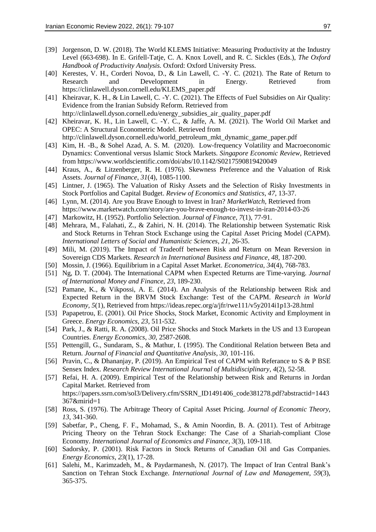- [39] Jorgenson, D. W. (2018). The World KLEMS Initiative: Measuring Productivity at the Industry Level (663-698). In E. Grifell-Tatje, C. A. Knox Lovell, and R. C. Sickles (Eds.), *The Oxford Handbook of Productivity Analysis.* Oxford: Oxford University Press.
- [40] Kerestes, V. H., Corderi Novoa, D., & Lin Lawell, C. -Y. C. (2021). The Rate of Return to Research and Development in Energy. Retrieved from https://clinlawell.dyson.cornell.edu/KLEMS\_paper.pdf
- [41] Kheiravar, K. H., & Lin Lawell, C. -Y. C. (2021). The Effects of Fuel Subsidies on Air Quality: Evidence from the Iranian Subsidy Reform. Retrieved from http://clinlawell.dyson.cornell.edu/energy\_subsidies\_air\_quality\_paper.pdf
- [42] Kheiravar, K. H., Lin Lawell, C. -Y. C., & Jaffe, A. M. (2021). The World Oil Market and OPEC: A Structural Econometric Model. Retrieved from http://clinlawell.dyson.cornell.edu/world\_petroleum\_mkt\_dynamic\_game\_paper.pdf
- [43] Kim, H. -B., & Sohel Azad, A. S. M. (2020). Low-frequency Volatility and Macroeconomic Dynamics: Conventional versus Islamic Stock Markets. *Singapore Economic Review*, Retrieved from https://www.worldscientific.com/doi/abs/10.1142/S0217590819420049
- [44] Kraus, A., & Litzenberger, R. H. (1976). Skewness Preference and the Valuation of Risk Assets. *Journal of Finance*, *31*(4), 1085-1100.
- [45] Lintner, J. (1965). The Valuation of Risky Assets and the Selection of Risky Investments in Stock Portfolios and Capital Budget. *Review of Economics and Statistics*, *47*, 13-37.
- [46] Lynn, M. (2014). Are you Brave Enough to Invest in Iran? *MarketWatch*, Retrieved from https://www.marketwatch.com/story/are-you-brave-enough-to-invest-in-iran-2014-03-26
- [47] Markowitz, H. (1952). Portfolio Selection. *Journal of Finance*, *7*(1), 77-91.
- [48] Mehrara, M., Falahati, Z., & Zahiri, N. H. (2014). The Relationship between Systematic Risk and Stock Returns in Tehran Stock Exchange using the Capital Asset Pricing Model (CAPM). *International Letters of Social and Humanistic Sciences*, *21*, 26-35.
- [49] Mili, M. (2019). The Impact of Tradeoff between Risk and Return on Mean Reversion in Sovereign CDS Markets. *Research in International Business and Finance*, *48*, 187-200.
- [50] Mossin, J. (1966). Equilibrium in a Capital Asset Market. *Econometrica*, *34*(4), 768-783.
- [51] Ng, D. T. (2004). The International CAPM when Expected Returns are Time-varying. *Journal of International Money and Finance*, *23*, 189-230.
- [52] Pamane, K., & Vikpossi, A. E. (2014). An Analysis of the Relationship between Risk and Expected Return in the BRVM Stock Exchange: Test of the CAPM. *Research in World Economy, 5*(1), Retrieved from https://ideas.repec.org/a/jfr/rwe111/v5y2014i1p13-28.html
- [53] Papapetrou, E. (2001). Oil Price Shocks, Stock Market, Economic Activity and Employment in Greece. *Energy Economics*, *23*, 511-532.
- [54] Park, J., & Ratti, R. A. (2008). Oil Price Shocks and Stock Markets in the US and 13 European Countries. *Energy Economics*, *30*, 2587-2608.
- [55] Pettengill, G., Sundaram, S., & Mathur, I. (1995). The Conditional Relation between Beta and Return. *Journal of Financial and Quantitative Analysis*, *30*, 101-116.
- [56] Pravin, C., & Dhananjay, P. (2019). An Empirical Test of CAPM with Referance to S & P BSE Sensex Index. *Research Review International Journal of Multidisciplinary*, *4*(2), 52-58.
- [57] Refai, H. A. (2009). Empirical Test of the Relationship between Risk and Returns in Jordan Capital Market. Retrieved from https://papers.ssrn.com/sol3/Delivery.cfm/SSRN\_ID1491406\_code381278.pdf?abstractid=1443 367&mirid=1
- [58] Ross, S. (1976). The Arbitrage Theory of Capital Asset Pricing. *Journal of Economic Theory*, *13*, 341-360.
- [59] Sabetfar, P., Cheng, F. F., Mohamad, S., & Amin Noordin, B. A. (2011). Test of Arbitrage Pricing Theory on the Tehran Stock Exchange: The Case of a Shariah-compliant Close Economy. *International Journal of Economics and Finance*, *3*(3), 109-118.
- [60] Sadorsky, P. (2001). Risk Factors in Stock Returns of Canadian Oil and Gas Companies. *Energy Economics*, *23*(1), 17-28.
- [61] Salehi, M., Karimzadeh, M., & Paydarmanesh, N. (2017). The Impact of Iran Central Bank's Sanction on Tehran Stock Exchange. *International Journal of Law and Management*, *59*(3), 365-375.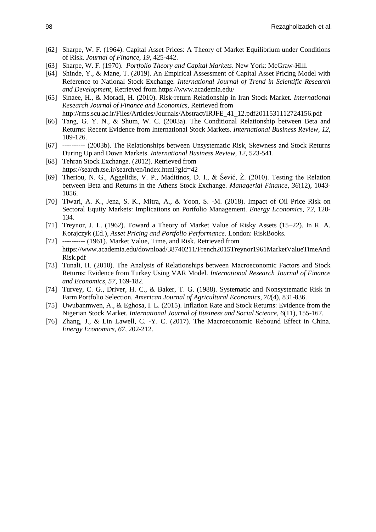- [62] Sharpe, W. F. (1964). Capital Asset Prices: A Theory of Market Equilibrium under Conditions of Risk. *Journal of Finance*, *19*, 425-442.
- [63] Sharpe, W. F. (1970). *Portfolio Theory and Capital Markets*. New York: McGraw-Hill.
- [64] Shinde, Y., & Mane, T. (2019). An Empirical Assessment of Capital Asset Pricing Model with Reference to National Stock Exchange*. International Journal of Trend in Scientific Research and Development*, Retrieved from https://www.academia.edu/
- [65] Sinaee, H., & Moradi, H. (2010). Risk-return Relationship in Iran Stock Market. *International Research Journal of Finance and Economics*, Retrieved from http://rms.scu.ac.ir/Files/Articles/Journals/Abstract/IRJFE\_41\_12.pdf2011531112724156.pdf
- [66] Tang, G. Y. N., & Shum, W. C. (2003a). The Conditional Relationship between Beta and Returns: Recent Evidence from International Stock Markets. *International Business Review*, *12*, 109-126.
- [67] ---------- (2003b). The Relationships between Unsystematic Risk, Skewness and Stock Returns During Up and Down Markets. *International Business Review*, *12*, 523-541.
- [68] Tehran Stock Exchange. (2012). Retrieved from https://search.tse.ir/search/en/index.html?gId=42
- [69] Theriou, N. G., Aggelidis, V. P., Maditinos, D. I., & Šević, Ž. (2010). Testing the Relation between Beta and Returns in the Athens Stock Exchange. *Managerial Finance*, *36*(12), 1043- 1056.
- [70] Tiwari, A. K., Jena, S. K., Mitra, A., & Yoon, S. -M. (2018). Impact of Oil Price Risk on Sectoral Equity Markets: Implications on Portfolio Management. *Energy Economics*, *72*, 120- 134.
- [71] Treynor, J. L. (1962). Toward a Theory of Market Value of Risky Assets (15–22). In R. A. Korajczyk (Ed.), *Asset Pricing and Portfolio Performance*. London: RiskBooks.
- [72] ---------- (1961). Market Value, Time, and Risk. Retrieved from https://www.academia.edu/download/38740211/French2015Treynor1961MarketValueTimeAnd Risk.pdf
- [73] Tunali, H. (2010). The Analysis of Relationships between Macroeconomic Factors and Stock Returns: Evidence from Turkey Using VAR Model. *International Research Journal of Finance and Economics*, *57*, 169-182.
- [74] Turvey, C. G., Driver, H. C., & Baker, T. G. (1988). Systematic and Nonsystematic Risk in Farm Portfolio Selection. *American Journal of Agricultural Economics*, *70*(4), 831-836.
- [75] Uwubanmwen, A., & Eghosa, I. L. (2015). Inflation Rate and Stock Returns: Evidence from the Nigerian Stock Market. *International Journal of Business and Social Science*, *6*(11), 155-167.
- [76] Zhang, J., & Lin Lawell, C. -Y. C. (2017). The Macroeconomic Rebound Effect in China. *Energy Economics*, *67*, 202-212.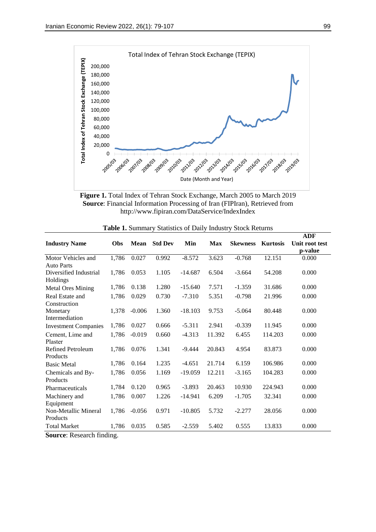

**Figure 1.** Total Index of Tehran Stock Exchange, March 2005 to March 2019 **Source**: Financial Information Processing of Iran (FIPIran), Retrieved from http://www.fipiran.com/DataService/IndexIndex

|                                         |            |             |                |           |            |                 |                 | <b>ADF</b>                |
|-----------------------------------------|------------|-------------|----------------|-----------|------------|-----------------|-----------------|---------------------------|
| <b>Industry Name</b>                    | <b>Obs</b> | <b>Mean</b> | <b>Std Dev</b> | Min       | <b>Max</b> | <b>Skewness</b> | <b>Kurtosis</b> | Unit root test<br>p-value |
| Motor Vehicles and<br><b>Auto Parts</b> | 1,786      | 0.027       | 0.992          | $-8.572$  | 3.623      | $-0.768$        | 12.151          | 0.000                     |
| Diversified Industrial<br>Holdings      | 1,786      | 0.053       | 1.105          | $-14.687$ | 6.504      | $-3.664$        | 54.208          | 0.000                     |
| <b>Metal Ores Mining</b>                | 1,786      | 0.138       | 1.280          | $-15.640$ | 7.571      | $-1.359$        | 31.686          | 0.000                     |
| Real Estate and<br>Construction         | 1,786      | 0.029       | 0.730          | $-7.310$  | 5.351      | $-0.798$        | 21.996          | 0.000                     |
| Monetary<br>Intermediation              | 1,378      | $-0.006$    | 1.360          | $-18.103$ | 9.753      | $-5.064$        | 80.448          | 0.000                     |
| <b>Investment Companies</b>             | 1,786      | 0.027       | 0.666          | $-5.311$  | 2.941      | $-0.339$        | 11.945          | 0.000                     |
| Cement, Lime and<br>Plaster             | 1,786      | $-0.019$    | 0.660          | $-4.313$  | 11.392     | 6.455           | 114.203         | 0.000                     |
| Refined Petroleum<br>Products           | 1,786      | 0.076       | 1.341          | $-9.444$  | 20.843     | 4.954           | 83.873          | 0.000                     |
| <b>Basic Metal</b>                      | 1,786      | 0.164       | 1.235          | $-4.651$  | 21.714     | 6.159           | 106.986         | 0.000                     |
| Chemicals and By-<br>Products           | 1,786      | 0.056       | 1.169          | $-19.059$ | 12.211     | $-3.165$        | 104.283         | 0.000                     |
| Pharmaceuticals                         | 1,784      | 0.120       | 0.965          | $-3.893$  | 20.463     | 10.930          | 224.943         | 0.000                     |
| Machinery and<br>Equipment              | 1,786      | 0.007       | 1.226          | $-14.941$ | 6.209      | $-1.705$        | 32.341          | 0.000                     |
| Non-Metallic Mineral<br>Products        | 1,786      | $-0.056$    | 0.971          | $-10.805$ | 5.732      | $-2.277$        | 28.056          | 0.000                     |
| <b>Total Market</b>                     | 1,786      | 0.035       | 0.585          | $-2.559$  | 5.402      | 0.555           | 13.833          | 0.000                     |

**Source**: Research finding.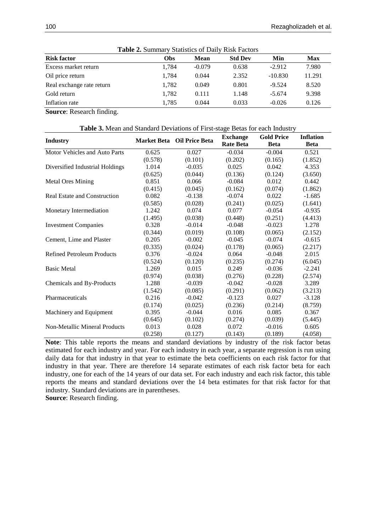| <b>Table 2. Summary Statistics of Daily Risk Factors</b> |       |          |                |           |            |  |  |
|----------------------------------------------------------|-------|----------|----------------|-----------|------------|--|--|
| <b>Risk factor</b>                                       | Obs   | Mean     | <b>Std Dev</b> | Min       | <b>Max</b> |  |  |
| Excess market return                                     | 1,784 | $-0.079$ | 0.638          | $-2.912$  | 7.980      |  |  |
| Oil price return                                         | 1.784 | 0.044    | 2.352          | $-10.830$ | 11.291     |  |  |
| Real exchange rate return                                | 1.782 | 0.049    | 0.801          | $-9.524$  | 8.520      |  |  |
| Gold return                                              | 1.782 | 0.111    | 1.148          | $-5.674$  | 9.398      |  |  |
| Inflation rate                                           | 1.785 | 0.044    | 0.033          | $-0.026$  | 0.126      |  |  |

**Table 2.** Summary Statistics of Daily Risk Factors

**Source**: Research finding.

**Table 3.** Mean and Standard Deviations of First-stage Betas for each Industry

| <b>Industry</b>                     |         | <b>Market Beta</b> Oil Price Beta | <b>Exchange</b>  | <b>Gold Price</b> | <b>Inflation</b> |
|-------------------------------------|---------|-----------------------------------|------------------|-------------------|------------------|
|                                     |         |                                   | <b>Rate Beta</b> | <b>Beta</b>       | <b>Beta</b>      |
| Motor Vehicles and Auto Parts       | 0.625   | 0.027                             | $-0.034$         | $-0.004$          | 0.521            |
|                                     | (0.578) | (0.101)                           | (0.202)          | (0.165)           | (1.852)          |
| Diversified Industrial Holdings     | 1.014   | $-0.035$                          | 0.025            | 0.042             | 4.353            |
|                                     | (0.625) | (0.044)                           | (0.136)          | (0.124)           | (3.650)          |
| <b>Metal Ores Mining</b>            | 0.851   | 0.066                             | $-0.084$         | 0.012             | 0.442            |
|                                     | (0.415) | (0.045)                           | (0.162)          | (0.074)           | (1.862)          |
| <b>Real Estate and Construction</b> | 0.082   | $-0.138$                          | $-0.074$         | 0.022             | $-1.685$         |
|                                     | (0.585) | (0.028)                           | (0.241)          | (0.025)           | (1.641)          |
| Monetary Intermediation             | 1.242   | 0.074                             | 0.077            | $-0.054$          | $-0.935$         |
|                                     | (1.495) | (0.038)                           | (0.448)          | (0.251)           | (4.413)          |
| <b>Investment Companies</b>         | 0.328   | $-0.014$                          | $-0.048$         | $-0.023$          | 1.278            |
|                                     | (0.344) | (0.019)                           | (0.108)          | (0.065)           | (2.152)          |
| Cement, Lime and Plaster            | 0.205   | $-0.002$                          | $-0.045$         | $-0.074$          | $-0.615$         |
|                                     | (0.335) | (0.024)                           | (0.178)          | (0.065)           | (2.217)          |
| <b>Refined Petroleum Products</b>   | 0.376   | $-0.024$                          | 0.064            | $-0.048$          | 2.015            |
|                                     | (0.524) | (0.120)                           | (0.235)          | (0.274)           | (6.045)          |
| <b>Basic Metal</b>                  | 1.269   | 0.015                             | 0.249            | $-0.036$          | $-2.241$         |
|                                     | (0.974) | (0.038)                           | (0.276)          | (0.228)           | (2.574)          |
| Chemicals and By-Products           | 1.288   | $-0.039$                          | $-0.042$         | $-0.028$          | 3.289            |
|                                     | (1.542) | (0.085)                           | (0.291)          | (0.062)           | (3.213)          |
| Pharmaceuticals                     | 0.216   | $-0.042$                          | $-0.123$         | 0.027             | $-3.128$         |
|                                     | (0.174) | (0.025)                           | (0.236)          | (0.214)           | (8.759)          |
| Machinery and Equipment             | 0.395   | $-0.044$                          | 0.016            | 0.085             | 0.367            |
|                                     | (0.645) | (0.102)                           | (0.274)          | (0.039)           | (5.445)          |
| Non-Metallic Mineral Products       | 0.013   | 0.028                             | 0.072            | $-0.016$          | 0.605            |
|                                     | (0.258) | (0.127)                           | (0.143)          | (0.189)           | (4.058)          |

**Note**: This table reports the means and standard deviations by industry of the risk factor betas estimated for each industry and year. For each industry in each year, a separate regression is run using daily data for that industry in that year to estimate the beta coefficients on each risk factor for that industry in that year. There are therefore 14 separate estimates of each risk factor beta for each industry, one for each of the 14 years of our data set. For each industry and each risk factor, this table reports the means and standard deviations over the 14 beta estimates for that risk factor for that industry. Standard deviations are in parentheses.

**Source**: Research finding.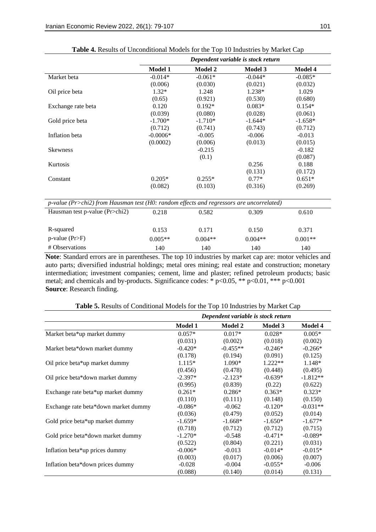|                                                                                          | Dependent variable is stock return |                |           |           |  |  |
|------------------------------------------------------------------------------------------|------------------------------------|----------------|-----------|-----------|--|--|
|                                                                                          | <b>Model 1</b>                     | <b>Model 2</b> | Model 3   | Model 4   |  |  |
| Market beta                                                                              | $-0.014*$                          | $-0.061*$      | $-0.044*$ | $-0.085*$ |  |  |
|                                                                                          | (0.006)                            | (0.030)        | (0.021)   | (0.032)   |  |  |
| Oil price beta                                                                           | $1.32*$                            | 1.248          | 1.238*    | 1.029     |  |  |
|                                                                                          | (0.65)                             | (0.921)        | (0.530)   | (0.680)   |  |  |
| Exchange rate beta                                                                       | 0.120                              | $0.192*$       | $0.083*$  | $0.154*$  |  |  |
|                                                                                          | (0.039)                            | (0.080)        | (0.028)   | (0.061)   |  |  |
| Gold price beta                                                                          | $-1.700*$                          | $-1.710*$      | $-1.644*$ | $-1.658*$ |  |  |
|                                                                                          | (0.712)                            | (0.741)        | (0.743)   | (0.712)   |  |  |
| Inflation beta                                                                           | $-0.0006*$                         | $-0.005$       | $-0.006$  | $-0.013$  |  |  |
|                                                                                          | (0.0002)                           | (0.006)        | (0.013)   | (0.015)   |  |  |
| <b>Skewness</b>                                                                          |                                    | $-0.215$       |           | $-0.182$  |  |  |
|                                                                                          |                                    | (0.1)          |           | (0.087)   |  |  |
| Kurtosis                                                                                 |                                    |                | 0.256     | 0.188     |  |  |
|                                                                                          |                                    |                | (0.131)   | (0.172)   |  |  |
| Constant                                                                                 | $0.205*$                           | $0.255*$       | $0.77*$   | $0.651*$  |  |  |
|                                                                                          | (0.082)                            | (0.103)        | (0.316)   | (0.269)   |  |  |
| p-value (Pr>chi2) from Hausman test (H0: random effects and regressors are uncorrelated) |                                    |                |           |           |  |  |
| Hausman test p-value (Pr>chi2)                                                           | 0.218                              | 0.582          | 0.309     | 0.610     |  |  |
| R-squared                                                                                | 0.153                              | 0.171          | 0.150     | 0.371     |  |  |
| $p$ -value (Pr>F)                                                                        | $0.005**$                          | $0.004**$      | $0.004**$ | $0.001**$ |  |  |
| # Observations                                                                           | 140                                | 140            | 140       | 140       |  |  |

| Table 4. Results of Unconditional Models for the Top 10 Industries by Market Cap |  |
|----------------------------------------------------------------------------------|--|
|----------------------------------------------------------------------------------|--|

**Note**: Standard errors are in parentheses. The top 10 industries by market cap are: motor vehicles and auto parts; diversified industrial holdings; metal ores mining; real estate and construction; monetary intermediation; investment companies; cement, lime and plaster; refined petroleum products; basic metal; and chemicals and by-products. Significance codes: \* p<0.05, \*\* p<0.01, \*\*\* p<0.001 **Source**: Research finding.

|                                      | Dependent variable is stock return |                |           |            |  |  |
|--------------------------------------|------------------------------------|----------------|-----------|------------|--|--|
|                                      | <b>Model 1</b>                     | <b>Model 2</b> | Model 3   | Model 4    |  |  |
| Market beta*up market dummy          | $0.057*$                           | $0.017*$       | $0.028*$  | $0.005*$   |  |  |
|                                      | (0.031)                            | (0.002)        | (0.018)   | (0.002)    |  |  |
| Market beta*down market dummy        | $-0.420*$                          | $-0.455**$     | $-0.246*$ | $-0.266*$  |  |  |
|                                      | (0.178)                            | (0.194)        | (0.091)   | (0.125)    |  |  |
| Oil price beta*up market dummy       | $1.115*$                           | $1.090*$       | $1.222**$ | $1.148*$   |  |  |
|                                      | (0.456)                            | (0.478)        | (0.448)   | (0.495)    |  |  |
| Oil price beta*down market dummy     | $-2.397*$                          | $-2.123*$      | $-0.639*$ | $-1.812**$ |  |  |
|                                      | (0.995)                            | (0.839)        | (0.22)    | (0.622)    |  |  |
| Exchange rate beta*up market dummy   | $0.261*$                           | $0.286*$       | $0.363*$  | $0.323*$   |  |  |
|                                      | (0.110)                            | (0.111)        | (0.148)   | (0.150)    |  |  |
| Exchange rate beta*down market dummy | $-0.086*$                          | $-0.062$       | $-0.120*$ | $-0.031**$ |  |  |
|                                      | (0.036)                            | (0.479)        | (0.052)   | (0.014)    |  |  |
| Gold price beta*up market dummy      | $-1.659*$                          | $-1.668*$      | $-1.650*$ | $-1.677*$  |  |  |
|                                      | (0.718)                            | (0.712)        | (0.712)   | (0.715)    |  |  |
| Gold price beta*down market dummy    | $-1.270*$                          | $-0.548$       | $-0.471*$ | $-0.089*$  |  |  |
|                                      | (0.522)                            | (0.804)        | (0.221)   | (0.031)    |  |  |
| Inflation beta*up prices dummy       | $-0.006*$                          | $-0.013$       | $-0.014*$ | $-0.015*$  |  |  |
|                                      | (0.003)                            | (0.017)        | (0.006)   | (0.007)    |  |  |
| Inflation beta*down prices dummy     | $-0.028$                           | $-0.004$       | $-0.055*$ | $-0.006$   |  |  |
|                                      | (0.088)                            | (0.140)        | (0.014)   | (0.131)    |  |  |

**Table 5.** Results of Conditional Models for the Top 10 Industries by Market Cap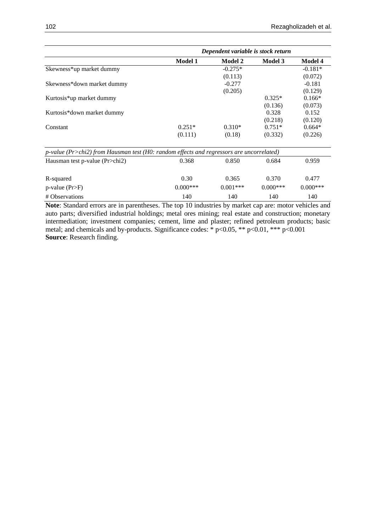|                            | Dependent variable is stock return |                |                |                |  |  |
|----------------------------|------------------------------------|----------------|----------------|----------------|--|--|
|                            | <b>Model 1</b>                     | <b>Model 2</b> | <b>Model 3</b> | <b>Model 4</b> |  |  |
| Skewness*up market dummy   |                                    | $-0.275*$      |                | $-0.181*$      |  |  |
|                            |                                    | (0.113)        |                | (0.072)        |  |  |
| Skewness*down market dummy |                                    | $-0.277$       |                | $-0.181$       |  |  |
|                            |                                    | (0.205)        |                | (0.129)        |  |  |
| Kurtosis*up market dummy   |                                    |                | $0.325*$       | $0.166*$       |  |  |
|                            |                                    |                | (0.136)        | (0.073)        |  |  |
| Kurtosis*down market dummy |                                    |                | 0.328          | 0.152          |  |  |
|                            |                                    |                | (0.218)        | (0.120)        |  |  |
| Constant                   | $0.251*$                           | $0.310*$       | $0.751*$       | $0.664*$       |  |  |
|                            | (0.111)                            | (0.18)         | (0.332)        | (0.226)        |  |  |
|                            |                                    |                |                |                |  |  |

| $p$ -value (Pr>chi2) from Hausman test (H0: random effects and regressors are uncorrelated) |             |            |            |            |
|---------------------------------------------------------------------------------------------|-------------|------------|------------|------------|
| Hausman test p-value (Pr>chi2)                                                              | 0.368       | 0.850      | 0.684      | 0.959      |
| R-squared                                                                                   | 0.30        | 0.365      | 0.370      | 0.477      |
| $p$ -value (Pr>F)                                                                           | $0.000$ *** | $0.001***$ | $0.000***$ | $0.000***$ |
| # Observations                                                                              | 140         | 140        | 140        | 140        |

**Note**: Standard errors are in parentheses. The top 10 industries by market cap are: motor vehicles and auto parts; diversified industrial holdings; metal ores mining; real estate and construction; monetary intermediation; investment companies; cement, lime and plaster; refined petroleum products; basic metal; and chemicals and by-products. Significance codes: \* p<0.05, \*\* p<0.01, \*\*\* p<0.001 **Source**: Research finding.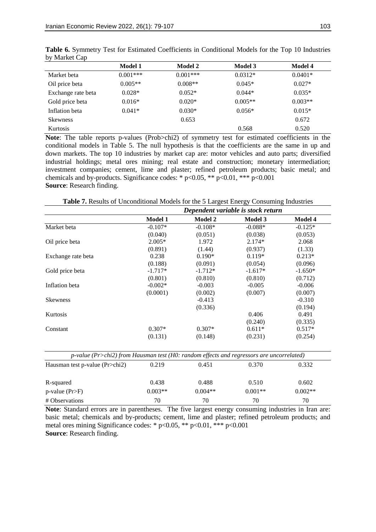|                    | <b>Model 1</b> | Model 2    | <b>Model 3</b> | Model 4   |
|--------------------|----------------|------------|----------------|-----------|
| Market beta        | $0.001***$     | $0.001***$ | $0.0312*$      | $0.0401*$ |
| Oil price beta     | $0.005**$      | $0.008**$  | $0.045*$       | $0.027*$  |
| Exchange rate beta | $0.028*$       | $0.052*$   | $0.044*$       | $0.035*$  |
| Gold price beta    | $0.016*$       | $0.020*$   | $0.005**$      | $0.003**$ |
| Inflation beta     | $0.041*$       | $0.030*$   | $0.056*$       | $0.015*$  |
| <b>Skewness</b>    |                | 0.653      |                | 0.672     |
| <b>Kurtosis</b>    |                |            | 0.568          | 0.520     |

**Table 6.** Symmetry Test for Estimated Coefficients in Conditional Models for the Top 10 Industries by Market Cap

Note: The table reports p-values (Prob>chi2) of symmetry test for estimated coefficients in the conditional models in Table 5. The null hypothesis is that the coefficients are the same in up and down markets. The top 10 industries by market cap are: motor vehicles and auto parts; diversified industrial holdings; metal ores mining; real estate and construction; monetary intermediation; investment companies; cement, lime and plaster; refined petroleum products; basic metal; and chemicals and by-products. Significance codes: \* p<0.05, \*\* p<0.01, \*\*\* p<0.001 **Source**: Research finding.

**Table 7.** Results of Unconditional Models for the 5 Largest Energy Consuming Industries

|                    | Dependent variable is stock return |                |                |                |  |
|--------------------|------------------------------------|----------------|----------------|----------------|--|
|                    | <b>Model 1</b>                     | <b>Model 2</b> | <b>Model 3</b> | <b>Model 4</b> |  |
| Market beta        | $-0.107*$                          | $-0.108*$      | $-0.088*$      | $-0.125*$      |  |
|                    | (0.040)                            | (0.051)        | (0.038)        | (0.053)        |  |
| Oil price beta     | $2.005*$                           | 1.972          | $2.174*$       | 2.068          |  |
|                    | (0.891)                            | (1.44)         | (0.937)        | (1.33)         |  |
| Exchange rate beta | 0.238                              | $0.190*$       | $0.119*$       | $0.213*$       |  |
|                    | (0.188)                            | (0.091)        | (0.054)        | (0.096)        |  |
| Gold price beta    | $-1.717*$                          | $-1.712*$      | $-1.617*$      | $-1.650*$      |  |
|                    | (0.801)                            | (0.810)        | (0.810)        | (0.712)        |  |
| Inflation beta     | $-0.002*$                          | $-0.003$       | $-0.005$       | $-0.006$       |  |
|                    | (0.0001)                           | (0.002)        | (0.007)        | (0.007)        |  |
| <b>Skewness</b>    |                                    | $-0.413$       |                | $-0.310$       |  |
|                    |                                    | (0.336)        |                | (0.194)        |  |
| Kurtosis           |                                    |                | 0.406          | 0.491          |  |
|                    |                                    |                | (0.240)        | (0.335)        |  |
| Constant           | $0.307*$                           | $0.307*$       | $0.611*$       | $0.517*$       |  |
|                    | (0.131)                            | (0.148)        | (0.231)        | (0.254)        |  |

| $p$ -value (Pr>chi2) from Hausman test (H0: random effects and regressors are uncorrelated) |           |           |           |           |  |  |  |
|---------------------------------------------------------------------------------------------|-----------|-----------|-----------|-----------|--|--|--|
| Hausman test p-value (Pr>chi2)                                                              | 0.219     | 0.451     | 0.370     | 0.332     |  |  |  |
| R-squared                                                                                   | 0.438     | 0.488     | 0.510     | 0.602     |  |  |  |
| $p$ -value (Pr>F)                                                                           | $0.003**$ | $0.004**$ | $0.001**$ | $0.002**$ |  |  |  |
| # Observations                                                                              | 70        | 70        | 70        | 70        |  |  |  |

**Note**: Standard errors are in parentheses. The five largest energy consuming industries in Iran are: basic metal; chemicals and by-products; cement, lime and plaster; refined petroleum products; and metal ores mining Significance codes: \* p<0.05, \*\* p<0.01, \*\*\* p<0.001 **Source**: Research finding.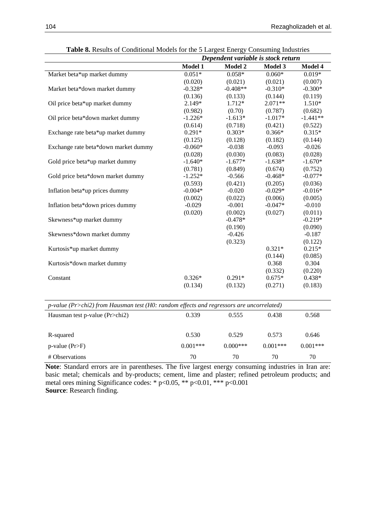|                                                                                                             | Dependent variable is stock return |            |           |            |
|-------------------------------------------------------------------------------------------------------------|------------------------------------|------------|-----------|------------|
|                                                                                                             | Model 1                            | Model 2    | Model 3   | Model 4    |
| Market beta*up market dummy                                                                                 | $0.051*$                           | $0.058*$   | $0.060*$  | $0.019*$   |
|                                                                                                             | (0.020)                            | (0.021)    | (0.021)   | (0.007)    |
| Market beta*down market dummy                                                                               | $-0.328*$                          | $-0.408**$ | $-0.310*$ | $-0.300*$  |
|                                                                                                             | (0.136)                            | (0.133)    | (0.144)   | (0.119)    |
| Oil price beta*up market dummy                                                                              | 2.149*                             | $1.712*$   | $2.071**$ | $1.510*$   |
|                                                                                                             | (0.982)                            | (0.70)     | (0.787)   | (0.682)    |
| Oil price beta*down market dummy                                                                            | $-1.226*$                          | $-1.613*$  | $-1.017*$ | $-1.441**$ |
|                                                                                                             | (0.614)                            | (0.718)    | (0.421)   | (0.522)    |
| Exchange rate beta*up market dummy                                                                          | $0.291*$                           | $0.303*$   | $0.366*$  | $0.315*$   |
|                                                                                                             | (0.125)                            | (0.128)    | (0.182)   | (0.144)    |
| Exchange rate beta*down market dummy                                                                        | $-0.060*$                          | $-0.038$   | $-0.093$  | $-0.026$   |
|                                                                                                             | (0.028)                            | (0.030)    | (0.083)   | (0.028)    |
| Gold price beta*up market dummy                                                                             | $-1.640*$                          | $-1.677*$  | $-1.638*$ | $-1.670*$  |
|                                                                                                             | (0.781)                            | (0.849)    | (0.674)   | (0.752)    |
| Gold price beta*down market dummy                                                                           | $-1.252*$                          | $-0.566$   | $-0.468*$ | $-0.077*$  |
|                                                                                                             | (0.593)                            | (0.421)    | (0.205)   | (0.036)    |
| Inflation beta*up prices dummy                                                                              | $-0.004*$                          | $-0.020$   | $-0.029*$ | $-0.016*$  |
|                                                                                                             | (0.002)                            | (0.022)    | (0.006)   | (0.005)    |
| Inflation beta*down prices dummy                                                                            | $-0.029$                           | $-0.001$   | $-0.047*$ | $-0.010$   |
|                                                                                                             | (0.020)                            | (0.002)    | (0.027)   | (0.011)    |
| Skewness*up market dummy                                                                                    |                                    | $-0.478*$  |           | $-0.219*$  |
|                                                                                                             |                                    | (0.190)    |           | (0.090)    |
| Skewness*down market dummy                                                                                  |                                    | $-0.426$   |           | $-0.187$   |
|                                                                                                             |                                    | (0.323)    |           | (0.122)    |
| Kurtosis*up market dummy                                                                                    |                                    |            | $0.321*$  | $0.215*$   |
|                                                                                                             |                                    |            | (0.144)   | (0.085)    |
| Kurtosis*down market dummy                                                                                  |                                    |            | 0.368     | 0.304      |
|                                                                                                             |                                    |            | (0.332)   | (0.220)    |
| Constant                                                                                                    | $0.326*$                           | $0.291*$   | $0.675*$  | $0.438*$   |
|                                                                                                             | (0.134)                            | (0.132)    | (0.271)   | (0.183)    |
| p-value (Pr>chi2) from Hausman test (H0: random effects and regressors are uncorrelated)                    |                                    |            |           |            |
| $\mathbf{U}_{\text{quomb}}$ toot n value $(\mathbf{D}_{\mathbf{r}\setminus\mathbf{a}}\mathbf{h}\mathbf{I})$ | 0.330                              | 0.555      | 0.429     | 0.568      |

| Table 8. Results of Conditional Models for the 5 Largest Energy Consuming Industries |  |  |
|--------------------------------------------------------------------------------------|--|--|
|--------------------------------------------------------------------------------------|--|--|

| Hausman test p-value (Pr>chi2) | 0.339      | 0.555      | 0.438      | 0.568      |
|--------------------------------|------------|------------|------------|------------|
| R-squared                      | 0.530      | 0.529      | 0.573      | 0.646      |
| $p$ -value (Pr>F)              | $0.001***$ | $0.000***$ | $0.001***$ | $0.001***$ |
| # Observations                 | 70         | 70         | 70         | 70         |

**Note**: Standard errors are in parentheses. The five largest energy consuming industries in Iran are: basic metal; chemicals and by-products; cement, lime and plaster; refined petroleum products; and metal ores mining Significance codes: \* p<0.05, \*\* p<0.01, \*\*\* p<0.001 **Source**: Research finding.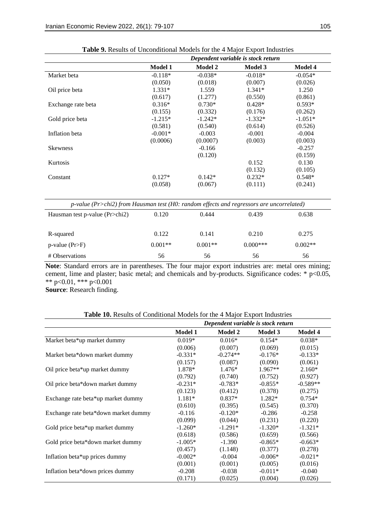|                                                                                          |                |                | Dependent variable is stock return |           |
|------------------------------------------------------------------------------------------|----------------|----------------|------------------------------------|-----------|
|                                                                                          | <b>Model 1</b> | <b>Model 2</b> | <b>Model 3</b>                     | Model 4   |
| Market beta                                                                              | $-0.118*$      | $-0.038*$      | $-0.018*$                          | $-0.054*$ |
|                                                                                          | (0.050)        | (0.018)        | (0.007)                            | (0.026)   |
| Oil price beta                                                                           | $1.331*$       | 1.559          | 1.341*                             | 1.250     |
|                                                                                          | (0.617)        | (1.277)        | (0.550)                            | (0.861)   |
| Exchange rate beta                                                                       | $0.316*$       | $0.730*$       | $0.428*$                           | $0.593*$  |
|                                                                                          | (0.155)        | (0.332)        | (0.176)                            | (0.262)   |
| Gold price beta                                                                          | $-1.215*$      | $-1.242*$      | $-1.332*$                          | $-1.051*$ |
|                                                                                          | (0.581)        | (0.540)        | (0.614)                            | (0.526)   |
| Inflation beta                                                                           | $-0.001*$      | $-0.003$       | $-0.001$                           | $-0.004$  |
|                                                                                          | (0.0006)       | (0.0007)       | (0.003)                            | (0.003)   |
| <b>Skewness</b>                                                                          |                | $-0.166$       |                                    | $-0.257$  |
|                                                                                          |                | (0.120)        |                                    | (0.159)   |
| Kurtosis                                                                                 |                |                | 0.152                              | 0.130     |
|                                                                                          |                |                | (0.132)                            | (0.105)   |
| Constant                                                                                 | $0.127*$       | $0.142*$       | $0.232*$                           | $0.548*$  |
|                                                                                          | (0.058)        | (0.067)        | (0.111)                            | (0.241)   |
| p-value (Pr>chi2) from Hausman test (H0: random effects and regressors are uncorrelated) |                |                |                                    |           |
| Hausman test p-value (Pr>chi2)                                                           | 0.120          | 0.444          | 0.439                              | 0.638     |
| R-squared                                                                                | 0.122          | 0.141          | 0.210                              | 0.275     |
| $p$ -value (Pr>F)                                                                        | $0.001**$      | $0.001**$      | $0.000***$                         | $0.002**$ |
| # Observations                                                                           | 56             | 56             | 56                                 | 56        |

| <b>Table 9.</b> Results of Unconditional Models for the 4 Major Export Industries |  |
|-----------------------------------------------------------------------------------|--|
|-----------------------------------------------------------------------------------|--|

**Note**: Standard errors are in parentheses. The four major export industries are: metal ores mining; cement, lime and plaster; basic metal; and chemicals and by-products. Significance codes: \* p<0.05, \*\* p<0.01, \*\*\* p<0.001

**Source**: Research finding.

| Table 10. Results of Conditional Models for the 4 Major Export Industries |
|---------------------------------------------------------------------------|
|---------------------------------------------------------------------------|

|                                      | Dependent variable is stock return |                |                |                |  |
|--------------------------------------|------------------------------------|----------------|----------------|----------------|--|
|                                      | <b>Model 1</b>                     | <b>Model 2</b> | <b>Model 3</b> | <b>Model 4</b> |  |
| Market beta*up market dummy          | $0.019*$                           | $0.016*$       | $0.154*$       | $0.038*$       |  |
|                                      | (0.006)                            | (0.007)        | (0.069)        | (0.015)        |  |
| Market beta*down market dummy        | $-0.331*$                          | $-0.274**$     | $-0.176*$      | $-0.133*$      |  |
|                                      | (0.157)                            | (0.087)        | (0.090)        | (0.061)        |  |
| Oil price beta*up market dummy       | 1.878*                             | $1.476*$       | $1.967**$      | $2.160*$       |  |
|                                      | (0.792)                            | (0.740)        | (0.752)        | (0.927)        |  |
| Oil price beta*down market dummy     | $-0.231*$                          | $-0.783*$      | $-0.855*$      | $-0.589**$     |  |
|                                      | (0.123)                            | (0.412)        | (0.378)        | (0.275)        |  |
| Exchange rate beta*up market dummy   | $1.181*$                           | $0.837*$       | $1.282*$       | $0.754*$       |  |
|                                      | (0.610)                            | (0.395)        | (0.545)        | (0.370)        |  |
| Exchange rate beta*down market dummy | $-0.116$                           | $-0.120*$      | $-0.286$       | $-0.258$       |  |
|                                      | (0.099)                            | (0.044)        | (0.231)        | (0.220)        |  |
| Gold price beta*up market dummy      | $-1.260*$                          | $-1.291*$      | $-1.320*$      | $-1.321*$      |  |
|                                      | (0.618)                            | (0.586)        | (0.659)        | (0.566)        |  |
| Gold price beta*down market dummy    | $-1.005*$                          | $-1.390$       | $-0.865*$      | $-0.663*$      |  |
|                                      | (0.457)                            | (1.148)        | (0.377)        | (0.278)        |  |
| Inflation beta*up prices dummy       | $-0.002*$                          | $-0.004$       | $-0.006*$      | $-0.021*$      |  |
|                                      | (0.001)                            | (0.001)        | (0.005)        | (0.016)        |  |
| Inflation beta*down prices dummy     | $-0.208$                           | $-0.038$       | $-0.011*$      | $-0.040$       |  |
|                                      | (0.171)                            | (0.025)        | (0.004)        | (0.026)        |  |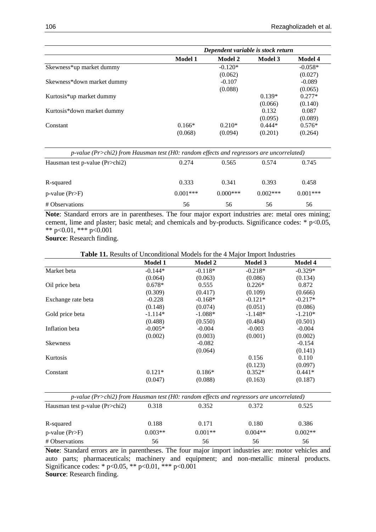|                            | Dependent variable is stock return |                |                |                |  |
|----------------------------|------------------------------------|----------------|----------------|----------------|--|
|                            | <b>Model 1</b>                     | <b>Model 2</b> | <b>Model 3</b> | <b>Model 4</b> |  |
| Skewness*up market dummy   |                                    | $-0.120*$      |                | $-0.058*$      |  |
|                            |                                    | (0.062)        |                | (0.027)        |  |
| Skewness*down market dummy |                                    | $-0.107$       |                | $-0.089$       |  |
|                            |                                    | (0.088)        |                | (0.065)        |  |
| Kurtosis*up market dummy   |                                    |                | $0.139*$       | $0.277*$       |  |
|                            |                                    |                | (0.066)        | (0.140)        |  |
| Kurtosis*down market dummy |                                    |                | 0.132          | 0.087          |  |
|                            |                                    |                | (0.095)        | (0.089)        |  |
| Constant                   | $0.166*$                           | $0.210*$       | $0.444*$       | $0.576*$       |  |
|                            | (0.068)                            | (0.094)        | (0.201)        | (0.264)        |  |

| $p$ -value (Pr>chi2) from Hausman test (H0: random effects and regressors are uncorrelated) |            |            |            |            |  |  |
|---------------------------------------------------------------------------------------------|------------|------------|------------|------------|--|--|
| Hausman test p-value (Pr>chi2)                                                              | 0.274      | 0.565      | 0.574      | 0.745      |  |  |
| R-squared                                                                                   | 0.333      | 0.341      | 0.393      | 0.458      |  |  |
| $p$ -value (Pr>F)                                                                           | $0.001***$ | $0.000***$ | $0.002***$ | $0.001***$ |  |  |
| # Observations                                                                              | 56         | 56         | 56         | 56         |  |  |

**Note**: Standard errors are in parentheses. The four major export industries are: metal ores mining; cement, lime and plaster; basic metal; and chemicals and by-products. Significance codes: \* p<0.05, \*\* p<0.01, \*\*\* p<0.001

**Source**: Research finding.

## **Table 11.** Results of Unconditional Models for the 4 Major Import Industries

|                    | <b>Model 1</b> | <b>Model 2</b> | <b>Model 3</b> | <b>Model 4</b> |
|--------------------|----------------|----------------|----------------|----------------|
| Market beta        | $-0.144*$      | $-0.118*$      | $-0.218*$      | $-0.329*$      |
|                    | (0.064)        | (0.063)        | (0.086)        | (0.134)        |
| Oil price beta     | $0.678*$       | 0.555          | $0.226*$       | 0.872          |
|                    | (0.309)        | (0.417)        | (0.109)        | (0.666)        |
| Exchange rate beta | $-0.228$       | $-0.168*$      | $-0.121*$      | $-0.217*$      |
|                    | (0.148)        | (0.074)        | (0.051)        | (0.086)        |
| Gold price beta    | $-1.114*$      | $-1.088*$      | $-1.148*$      | $-1.210*$      |
|                    | (0.488)        | (0.550)        | (0.484)        | (0.501)        |
| Inflation beta     | $-0.005*$      | $-0.004$       | $-0.003$       | $-0.004$       |
|                    | (0.002)        | (0.003)        | (0.001)        | (0.002)        |
| <b>Skewness</b>    |                | $-0.082$       |                | $-0.154$       |
|                    |                | (0.064)        |                | (0.141)        |
| Kurtosis           |                |                | 0.156          | 0.110          |
|                    |                |                | (0.123)        | (0.097)        |
| Constant           | $0.121*$       | $0.186*$       | $0.352*$       | $0.441*$       |
|                    | (0.047)        | (0.088)        | (0.163)        | (0.187)        |

| p-value ( $Pr > chi2$ ) from Hausman test (H0: random effects and regressors are uncorrelated) |           |           |           |           |  |  |
|------------------------------------------------------------------------------------------------|-----------|-----------|-----------|-----------|--|--|
| Hausman test p-value (Pr>chi2)                                                                 | 0.318     | 0.352     | 0.372     | 0.525     |  |  |
| R-squared                                                                                      | 0.188     | 0.171     | 0.180     | 0.386     |  |  |
| $p$ -value (Pr>F)                                                                              | $0.003**$ | $0.001**$ | $0.004**$ | $0.002**$ |  |  |
| # Observations                                                                                 | 56        | 56        | 56        | 56        |  |  |

**Note**: Standard errors are in parentheses. The four major import industries are: motor vehicles and auto parts; pharmaceuticals; machinery and equipment; and non-metallic mineral products. Significance codes: \* p<0.05, \*\* p<0.01, \*\*\* p<0.001 **Source**: Research finding.